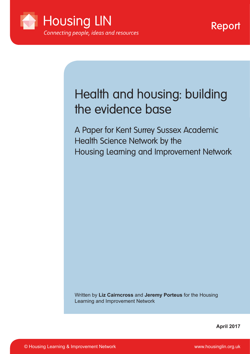

# Health and housing: building the evidence base

A Paper for Kent Surrey Sussex Academic Health Science Network by the Housing Learning and Improvement Network

Written by **Liz Cairncross** and **Jeremy Porteus** for the Housing Learning and Improvement Network

**April 2017**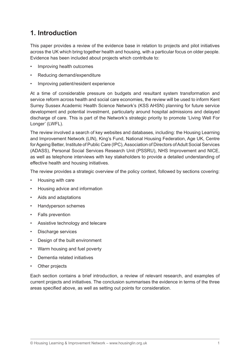# **1. Introduction**

This paper provides a review of the evidence base in relation to projects and pilot initiatives across the UK which bring together health and housing, with a particular focus on older people. Evidence has been included about projects which contribute to:

- Improving health outcomes
- Reducing demand/expenditure
- Improving patient/resident experience

At a time of considerable pressure on budgets and resultant system transformation and service reform across health and social care economies, the review will be used to inform Kent Surrey Sussex Academic Health Science Network's (KSS AHSN) planning for future service development and potential investment, particularly around hospital admissions and delayed discharge of care. This is part of the Network's strategic priority to promote 'Living Well For Longer' (LWFL).

The review involved a search of key websites and databases, including: the Housing Learning and Improvement Network (LIN), King's Fund, National Housing Federation, Age UK, Centre for Ageing Better, Institute of Public Care (IPC), Association of Directors of Adult Social Services (ADASS), Personal Social Services Research Unit (PSSRU), NHS Improvement and NICE, as well as telephone interviews with key stakeholders to provide a detailed understanding of effective health and housing initiatives.

The review provides a strategic overview of the policy context, followed by sections covering:

- Housing with care
- Housing advice and information
- Aids and adaptations
- • Handyperson schemes
- **Falls prevention**
- • Assistive technology and telecare
- Discharge services
- • Design of the built environment
- Warm housing and fuel poverty
- • Dementia related initiatives
- Other projects

Each section contains a brief introduction, a review of relevant research, and examples of current projects and initiatives. The conclusion summarises the evidence in terms of the three areas specified above, as well as setting out points for consideration.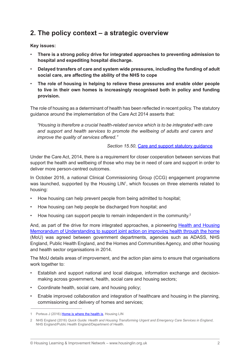### **2. The policy context – a strategic overview**

#### **Key issues:**

- There is a strong policy drive for integrated approaches to preventing admission to **hospital and expediting hospital discharge.**
- **Delayed transfers of care and system wide pressures, including the funding of adult social care, are affecting the ability of the NHS to cope**
- The role of housing in helping to relieve these pressures and enable older people **to live in their own homes is increasingly recognised both in policy and funding provision.**

The role of housing as a determinant of health has been reflected in recent policy. The statutory guidance around the implementation of the Care Act 2014 asserts that:

*"Housing is therefore a crucial health-related service which is to be integrated with care and support and health services to promote the wellbeing of adults and carers and improve the quality of services offered."*

*Section 15.50*, [Care and support statutory guidance](https://www.gov.uk/government/publications/care-act-statutory-guidance/care-and-support-statutory-guidance)

Under the Care Act, 2014, there is a requirement for closer cooperation between services that support the health and wellbeing of those who may be in need of care and support in order to deliver more person-centred outcomes.

In October 2016, a national Clinical Commissioning Group (CCG) engagement programme was launched, supported by the Housing LIN<sup>1</sup>, which focuses on three elements related to housing:

- How housing can help prevent people from being admitted to hospital:
- How housing can help people be discharged from hospital; and
- How housing can support people to remain independent in the community.<sup>2</sup>

And, as part of the drive for more integrated approaches, a pioneering **[Health and Housing](http://www.housinglin.org.uk/_library/Resources/Housing/Support_materials/Other_reports_and_guidance/A_Memorandum_of_Understanding_MoU_to_support_joint_action_on_improving_health_through_the_home.pdf)** [Memorandum of Understanding to support joint action on improving health through the home](http://www.housinglin.org.uk/_library/Resources/Housing/Support_materials/Other_reports_and_guidance/A_Memorandum_of_Understanding_MoU_to_support_joint_action_on_improving_health_through_the_home.pdf) (MoU) was agreed between government departments, agencies such as ADASS, NHS England, Public Health England, and the Homes and Communities Agency, and other housing and health sector organisations in 2014.

The MoU details areas of improvement, and the action plan aims to ensure that organisations work together to:

- Establish and support national and local dialogue, information exchange and decisionmaking across government, health, social care and housing sectors;
- Coordinate health, social care, and housing policy;
- Enable improved collaboration and integration of healthcare and housing in the planning, commissioning and delivery of homes and services;

<sup>1</sup> Porteus J (2016) [Home is where the health is,](http://www.housinglin.org.uk/_library/Resources/Housing/Blogs/HLIN_Blog_Health_and_Housing.pdf) Housing LIN

<sup>2</sup> NHS England (2016) *Quick Guide: Health and Housing Transforming Urgent and Emergency Care Services in England*, NHS England/Public Health England/Department of Health.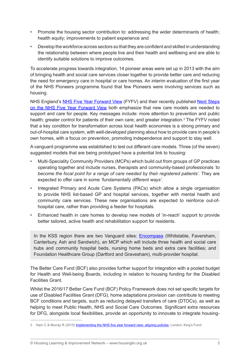- Promote the housing sector contribution to: addressing the wider determinants of health; health equity; improvements to patient experience and
- Develop the workforce across sectors so that they are confident and skilled in understanding the relationship between where people live and their health and wellbeing and are able to identify suitable solutions to improve outcomes.

To accelerate progress towards integration, 14 pioneer areas were set up in 2013 with the aim of bringing health and social care services closer together to provide better care and reducing the need for emergency care in hospital or care homes. An interim evaluation of the first year of the NHS Pioneers programme found that few Pioneers were involving services such as housing.

NHS England's [NHS Five Year Forward View](https://www.england.nhs.uk/wp-content/uploads/2014/10/5yfv-web.pdf) (FYFV) and their recently published [Next Steps](https://www.england.nhs.uk/wp-content/uploads/2017/03/NEXT-STEPS-ON-THE-NHS-FIVE-YEAR-FORWARD-VIEW.pdf) [on the NHS Five Year Forward View](https://www.england.nhs.uk/wp-content/uploads/2017/03/NEXT-STEPS-ON-THE-NHS-FIVE-YEAR-FORWARD-VIEW.pdf) both emphasize that new care models are needed to support and care for people. Key messages include: more attention to prevention and public health; greater control for patients of their own care; and greater integration.<sup>3</sup> The FYFV noted that a key condition for transformation across local health economies is a strong primary and out-of-hospital care system, with well-developed planning about how to provide care in people's own homes, with a focus on prevention, promoting independence and support to stay well.

A vanguard programme was established to test out different care models. Three (of the seven) suggested models that are being prototyped have a potential link to housing:

- Multi-Speciality Community Providers (MCPs) which build out from groups of GP practices operating together and include nurses, therapists and community-based professionals *'to become the focal point for a range of care needed by their registered patients'*. They are expected to offer care in some *'fundamentally different ways'*.
- Integrated Primary and Acute Care Systems (PACs) which allow a single organisation to provide NHS list-based GP and hospital services, together with mental health and community care services. These new organisations are expected to reinforce out-ofhospital care, rather than providing a feeder for hospitals.
- Enhanced health in care homes to develop new models of 'in-reach' support to provide better tailored, active health and rehabilitation support for residents.

In the KSS region there are two Vanguard sites: **[Encompass](http://www.encompass-mcp.co.uk/about-us/)** (Whitstable, Faversham, Canterbury, Ash and Sandwich), an MCP which will include three health and social care hubs and community hospital beds, nursing home beds and extra care facilities; and Foundation Healthcare Group (Dartford and Gravesham), multi-provider hospital.

The Better Care Fund (BCF) also provides further support for integration with a pooled budget for Health and Well-being Boards, including in relation to housing funding for the Disabled Facilities Grant.

Whilst the 2016/17 Better Care Fund (BCF) Policy Framework does not set specific targets for use of Disabled Facilities Grant (DFG), home adaptations provision can contribute to meeting BCF conditions and targets, such as reducing delayed transfers of care (DTOCs), as well as helping to meet Public Health, NHS and Social Care Outcomes. Significant extra resources for DFG, alongside local flexibilities, provide an opportunity to innovate to integrate housing-

<sup>3</sup> Ham C & Murray R (2015) **[Implementing](http://www.kingsfund.org.uk/sites/files/kf/field/field_publication_file/implementing-the-nhs-five-year-forward-view-kingsfund-feb15.pdf) the NHS five year forward view: aligning policies**, London: King's Fund.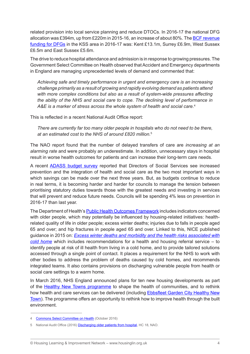related provision into local service planning and reduce DTOCs. In 2016-17 the national DFG allocation was £394m, up from £220m in 2015-16, an increase of about 80%. The **BCF revenue** [funding for DFGs](https://www.england.nhs.uk/?s=bcf+allocations) in the KSS area in 2016-17 was: Kent £13.1m, Surrey £6.9m, West Sussex £6.5m and East Sussex £5.6m.

The drive to reduce hospital attendance and admission is in response to growing pressures. The Government Select Committee on Health observed that Accident and Emergency departments in England are managing unprecedented levels of demand and commented that:

*Achieving safe and timely performance in urgent and emergency care is an increasing challenge primarily as a result of growing and rapidly evolving demand as patients attend*  with more complex conditions but also as a result of system-wide pressures affecting *the ability of the NHS and social care to cope. The declining level of performance in A&E is a marker of stress across the whole system of health and social care.*<sup>4</sup>

This is reflected in a recent National Audit Office report:

*There are currently far too many older people in hospitals who do not need to be there, at an estimated cost to the NHS of around £820 million.*<sup>5</sup>

The NAO report found that the number of delayed transfers of care are *increasing at an alarming rate* and were probably an underestimate. In addition, unnecessary stays in hospital result in worse health outcomes for patients and can increase their long-term care needs.

A recent [ADASS budget survey](https://www.adass.org.uk/media/5379/adass-budget-survey-report-2016.pdf) reported that Directors of Social Services see increased prevention and the integration of health and social care as the two most important ways in which savings can be made over the next three years. But, as budgets continue to reduce in real terms, it is becoming harder and harder for councils to manage the tension between prioritising statutory duties towards those with the greatest needs and investing in services that will prevent and reduce future needs. Councils will be spending 4% less on prevention in 2016-17 than last year.

The Department of Health's [Public Health Outcomes Framework](http://www.phoutcomes.info/) includes indicators concerned with older people, which may potentially be influenced by housing-related initiatives: healthrelated quality of life in older people; excess winter deaths; injuries due to falls in people aged 65 and over; and hip fractures in people aged 65 and over. Linked to this, NICE published guidance in 2015 on: *[Excess winter deaths and morbidity and the health risks associated with](https://www.nice.org.uk/guidance/ng6) [cold home](https://www.nice.org.uk/guidance/ng6)* which includes recommendations for a health and housing referral service – to identify people at risk of ill health from living in a cold home, and to provide tailored solutions accessed through a single point of contact. It places a requirement for the NHS to work with other bodies to address the problem of deaths caused by cold homes, and recommends integrated teams. It also contains provisions on discharging vulnerable people from health or social care settings to a warm home.

In March 2016, NHS England announced plans for ten new housing developments as part of the [Healthy New Towns programme](https://www.england.nhs.uk/ourwork/innovation/healthy-new-towns/) to shape the health of communities, and to rethink how health and care services can be delivered (including [Ebbsfleet](https://www.england.nhs.uk/ourwork/innovation/healthy-new-towns/ebbsfleet/) Garden City Healthy New [Town\)](https://www.england.nhs.uk/ourwork/innovation/healthy-new-towns/ebbsfleet/). The programme offers an opportunity to rethink how to improve health through the built environment.

<sup>4</sup> [Commons Select Committee on Health](http://www.publications.parliament.uk/pa/cm201617/cmselect/cmhealth/277/27703.htm?utm_source=277&utm_campaign=modulereports&utm_medium=sumbullet) (October 2016)

<sup>5</sup> National Audit Office (2016) [Discharging older patients from hospital](https://www.nao.org.uk/wp-content/uploads/2015/12/Discharging-older-patients-from-hospital.pdf), HC 18, NAO.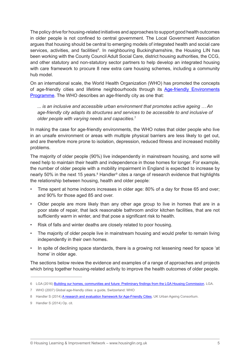The policy drive for housing-related initiatives and approaches to support good health outcomes in older people is not confined to central government. The Local Government Association argues that housing should be central to emerging models of integrated health and social care services, activities, and facilities<sup>6</sup>. In neighbouring Buckinghamshire, the Housing LIN has been working with the County Council Adult Social Care, district housing authorities, the CCG, and other statutory and non-statutory sector partners to help develop an integrated housing with care framework to procure 8 new extra care housing schemes, including a community hub model.

On an international scale, the World Health Organization (WHO) has promoted the concepts of age-friendly cities and lifetime neighbourhoods through its [Age-friendly Environments](http://www.who.int/ageing/age-friendly-environments/en/) [Programme](http://www.who.int/ageing/age-friendly-environments/en/). The WHO describes an age-friendly city as one that:

*... is an inclusive and accessible urban environment that promotes active ageing … An age-friendly city adapts its structures and services to be accessible to and inclusive of older people with varying needs and capacities.*<sup>7</sup>

In making the case for age-friendly environments, the WHO notes that older people who live in an unsafe environment or areas with multiple physical barriers are less likely to get out, and are therefore more prone to isolation, depression, reduced fitness and increased mobility problems.

The majority of older people (90%) live independently in mainstream housing, and some will need help to maintain their health and independence in those homes for longer. For example, the number of older people with a mobility impairment in England is expected to increase by nearly 50% in the next 15 years.<sup>8</sup> Handler<sup>9</sup> cites a range of research evidence that highlights the relationship between housing, health and older people:

- Time spent at home indoors increases in older age: 80% of a day for those 65 and over; and 90% for those aged 85 and over.
- Older people are more likely than any other age group to live in homes that are in a poor state of repair, that lack reasonable bathroom and/or kitchen facilities, that are not sufficiently warm in winter, and that pose a significant risk to health.
- • Risk of falls and winter deaths are closely related to poor housing.
- The majority of older people live in mainstream housing and would prefer to remain living independently in their own homes.
- In spite of declining space standards, there is a growing not lessening need for space 'at home' in older age.

The sections below review the evidence and examples of a range of approaches and projects which bring together housing-related activity to improve the health outcomes of older people.

<sup>6</sup> LGA (2016) Building our homes, [communities](http://www.local.gov.uk/documents/10180/7632544/5.5+Housing+commission_v12_compressed+WEB.pdf/ea3bad67-4c85-423f-aa45-f07888ff0fc5) and future: Preliminary findings from the LGA Housing Commission, LGA.

<sup>7</sup> WHO (2007) Global age-friendly cities: a guide, Switzerland: WHO

<sup>8</sup> Handler S (2014) [A research and evaluation framework for Age-Friendly Cities](http://hummedia.manchester.ac.uk/institutes/micra/A%20Research%20and%20Evaluation%20Framework%20for%20Age-friendly%20Cities_web%20version.pdf), UK Urban Ageing Consortium.

<sup>9</sup> Handler S (2014) Op. cit.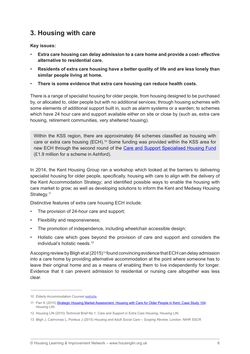# **3. Housing with care**

**Key issues:**

- **Extra care housing can delay admission to a care home and provide a cost- effective alternative to residential care.**
- • **Residents of extra care housing have a better quality of life and are less lonely than similar people living at home.**
- There is some evidence that extra care housing can reduce health costs.

There is a range of specialist housing for older people, from housing designed to be purchased by, or allocated to, older people but with no additional services; through housing schemes with some elements of additional support built in, such as alarm systems or a warden; to schemes which have 24 hour care and support available either on site or close by (such as, extra care housing, retirement communities, very sheltered housing).

Within the KSS region, there are approximately 84 schemes classified as housing with care or extra care housing (ECH).10 Some funding was provided within the KSS area for new ECH through the second round of the [Care and Support Specialised Housing Fund](https://www.gov.uk/government/publications/care-and-support-specialised-housing-fund-round-2-successful-bids) (£1.9 million for a scheme in Ashford).

In 2014, the Kent Housing Group ran a workshop which looked at the barriers to delivering specialist housing for older people, specifically, housing with care to align with the delivery of the Kent Accommodation Strategy; and identified possible ways to enable the housing with care market to grow; as well as developing solutions to inform the Kent and Medway Housing Strategy.<sup>11</sup>

Distinctive features of extra care housing ECH include:

- The provision of 24-hour care and support;
- Flexibility and responsiveness:
- The promotion of independence, including wheelchair accessible design;
- Holistic care which goes beyond the provision of care and support and considers the individual's holistic needs.12

A scoping review by Bligh et al (2015)<sup>13</sup> found convincing evidence that ECH can delay admission into a care home by providing alternative accommodation at the point where someone has to leave their original home and as a means of enabling them to live independently for longer. Evidence that it can prevent admission to residential or nursing care altogether was less clear.

<sup>10</sup> Elderly Accommodation Counsel [website](http://www.housingcare.org/index.aspx).

<sup>11</sup> Parr K (2015) [Strategic Housing Market Assessment: Housing with Care for Older People in Kent, Case Study 104,](http://www.housinglin.org.uk/_library/Resources/Housing/Support_materials/HLIN_CaseStudy_104_Kent_FINAL.pdf) Housing LIN.

<sup>12</sup> Housing LIN (2010) Technical Brief No 1: Care and Support in Extra Care Housing, Housing LIN.

<sup>13</sup> Bligh J, Cairncross L, Porteus J (2015) *Housing and Adult Social Care – Scoping Review*, London: NIHR SSCR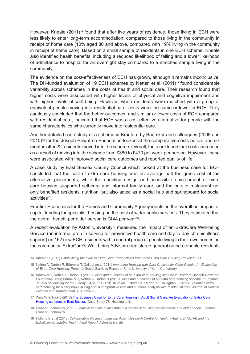However, Kneale (2011)<sup>14</sup> found that after five years of residence, those living in ECH were less likely to enter long-term accommodation, compared to those living in the community in receipt of home care (10% aged 80 and above, compared with 19% living in the community in receipt of home care). Based on a small sample of residents in one ECH scheme, Kneale also identified health benefits, including a reduced likelihood of falling and a lower likelihood of admittance to hospital for an overnight stay compared to a matched sample living in the community.

The evidence on the cost-effectiveness of ECH has grown, although it remains inconclusive. The DH-funded evaluation of 19 ECH schemes by Netten et al. (2011)<sup>15</sup> found considerable variability across schemes in the costs of health and social care. Their research found that higher costs were associated with higher levels of physical and cognitive impairment and with higher levels of well-being. However, when residents were matched with a group of equivalent people moving into residential care, costs were the same or lower in ECH. They cautiously concluded that the better outcomes, and similar or lower costs of ECH compared with residential care, indicated that ECH was a cost-effective alternative for people with the same characteristics who currently move into residential care.

Another detailed case study of a scheme in Bradford by Baumker and colleagues (2008 and 2010)16 for the Joseph Rowntree Foundation looked at the comparative costs before and six months after 22 residents moved into the scheme. Overall, the team found that costs increased as a result of moving into the scheme from £380 to £470 per week per person. However, these were associated with improved social care outcomes and reported quality of life.

A case study by East Sussex County Council which looked at the business case for ECH concluded that the cost of extra care housing was on average half the gross cost of the alternative placements, while the enabling design and accessible environment of extra care housing supported self-care and informal family care, and the on-site restaurant not only benefited residents' nutrition, but also acted as a social hub and springboard for social activities<sup>17</sup>.

Frontier Economics for the Homes and Community Agency identified the overall net impact of capital funding for specialist housing on the cost of wider public services. They estimated that the overall benefit per older person is £444 per vear<sup>18</sup>.

A recent evaluation by Aston University<sup>19</sup> measured the impact of an ExtraCare Well-being Service (an informal drop-in service for preventive health care and day-to-day chronic illness support) on 162 new ECH residents with a control group of people living in their own homes on the community. ExtraCare's Well-being Advisors (registered general nurses) enable residents

<sup>14</sup> Kneale D (2011) *Establishing the extra in Extra Care Perspectives from three Extra Care Housing Providers*, ILC.

<sup>15</sup> Netten A, Darton R, Bäumker T, Callaghan L (2011) *Improving Housing with Care Choices for Older People: An Evaluation of Extra Care Housing*, Personal Social Services Research Unit, University of Kent, Canterbury.

<sup>16</sup> Bäumker T, Netten A, Darton R (2008) *Costs and outcomes of an extra-care housing scheme in Bradford*, Joseph Rowntree Foundation, York; Bäumker T, Netten A, Darton R (2010) Costs and outcomes of an extra care housing scheme in England, *Journal of Housing for the Elderly*, 24, 2, 151–170; Bäumker T, Netten A, Darton, R, Callaghan L (2011) Evaluating extra care housing for older people in England: a comparative cost and outcome analysis with residential care, *Journal of Service Science and Management*, 4, 4, 523–539.

<sup>17</sup> Weis W & Tuck J (2013) [The Business Case for Extra Care Housing in Adult Social Care: An Evaluation of Extra Care](http://www.housinglin.org.uk/_library/Resources/Housing/Practice_examples/Housing_LIN_case_studies/HLIN_CaseStudy78_EastSussex.pdf)  [Housing schemes in East Sussex](http://www.housinglin.org.uk/_library/Resources/Housing/Practice_examples/Housing_LIN_case_studies/HLIN_CaseStudy78_EastSussex.pdf), Case Study 78, Housing LIN.

<sup>18</sup> Frontier Economics (2010) *Financial benefits of investment in specialist housing for vulnerable and older people.* London: Frontier Economics.

<sup>19</sup> Holland C et al (2016) *Collaborative Research between Aston Research Centre for Healthy Ageing (ARCHA) and the ExtraCare Charitable Trust – Final Report*, Aston University.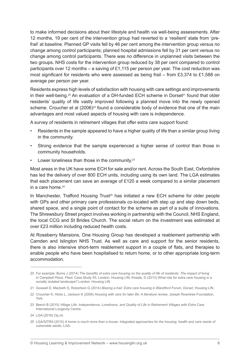to make informed decisions about their lifestyle and health via well-being assessments. After 12 months, 19 per cent of the intervention group had reverted to a 'resilient' state from 'prefrail' at baseline. Planned GP visits fell by 46 per cent among the intervention group versus no change among control participants; planned hospital admissions fell by 31 per cent versus no change among control participants. There was no difference in unplanned visits between the two groups. NHS costs for the intervention group reduced by 38 per cent compared to control participants over 12 months – a saving of £1,115 per person per year. The cost reduction was most significant for residents who were assessed as being frail – from £3,374 to £1,588 on average per person per year.

Residents express high levels of satisfaction with housing with care settings and improvements in their well-being.<sup>20</sup> An evaluation of a DH-funded ECH scheme in Dorset<sup>21</sup> found that older residents' quality of life vastly improved following a planned move into the newly opened scheme. Croucher et al (2006)<sup>22</sup> found a considerable body of evidence that one of the main advantages and most valued aspects of housing with care is independence.

A survey of residents in retirement villages that offer extra care support found:

- Residents in the sample appeared to have a higher quality of life than a similar group living in the community.
- Strong evidence that the sample experienced a higher sense of control than those in community households.
- Lower loneliness than those in the community. $23$

Most areas in the UK have some ECH for sale and/or rent. Across the South East, Oxfordshire has led the delivery of over 800 ECH units, including using its own land. The LGA estimates that each placement can save an average of £120 a week compared to a similar placement in a care home  $24$ 

In Manchester, Trafford Housing Trust<sup>25</sup> has initiated a new ECH scheme for older people with GPs and other primary care professionals co-located with step up and step down beds, shared space, and a single point of contact for the scheme as part of a suite of innovations. The Shrewsbury Street project involves working in partnership with the Council, NHS England, the local CCG and St Brides Church. The social return on the investment was estimated at over £23 million including reduced health costs.

At Roseberry Mansions, One Housing Group has developed a reablement partnership with Camden and Islington NHS Trust. As well as care and support for the senior residents, there is also intensive short-term reablement support in a couple of flats, and therapies to enable people who have been hospitalised to return home, or to other appropriate long-term accommodation.

<sup>20</sup> For example: Burns J (2014) *The benefits of extra care housing on the quality of life of residents: The impact of living in Campbell Place, Fleet*, Case Study 93, London: Housing LIN; Kneale, D (2013) What role for extra care housing in a socially isolated landscape? London: Housing LIN.

<sup>21</sup> Goswell D, Macbeth S, Robertson G (2014) *Blazing a trail: Extra care housing in Blandford Forum, Dorset*, Housing LIN.

<sup>22</sup> Croucher K, Hicks L, Jackson K (2006) *Housing with care for later life: A literature review*, Joseph Rowntree Foundation, York.

<sup>23</sup> Beech B (2015) *Village Life: Independence, Loneliness, and Quality of Life in Retirement Villages with Extra Care*, International Longevity Centre.

<sup>24</sup> LGA (2016) Op.cit.

<sup>25</sup> LGA/SITRA (2015) *A home is much more than a house: Integrated approaches for the housing, health and care needs of vulnerable adults*, LGA.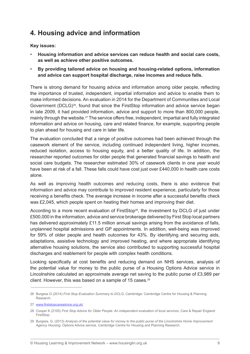### **4. Housing advice and information**

#### **Key issues:**

- Housing information and advice services can reduce health and social care costs, **as well as achieve other positive outcomes.**
- By providing tailored advice on housing and housing-related options, information **and advice can support hospital discharge, raise incomes and reduce falls.**

There is strong demand for housing advice and information among older people, reflecting the importance of trusted, independent, impartial information and advice to enable them to make informed decisions. An evaluation in 2014 for the Department of Communities and Local Government (DCLG)26, found that since the FirstStop information and advice service began in late 2009, it had provided information, advice and support to more than 800,000 people, mainly through the website.27 The service offers free, independent, impartial and fully integrated information and advice on housing, care and related finance, for example, supporting people to plan ahead for housing and care in later life.

The evaluation concluded that a range of positive outcomes had been achieved through the casework element of the service, including continued independent living, higher incomes, reduced isolation, access to housing equity, and a better quality of life. In addition, the researcher reported outcomes for older people that generated financial savings to health and social care budgets. The researcher estimated 30% of casework clients in one year would have been at risk of a fall. These falls could have cost just over £440,000 in health care costs alone.

As well as improving health outcomes and reducing costs, there is also evidence that information and advice may contribute to improved resident experience, particularly for those receiving a benefits check. The average increase in income after a successful benefits check was £2,045, which people spent on heating their homes and improving their diet.

According to a more recent evaluation of FirstStop<sup>28</sup>, the investment by DCLG of just under £500,000 in the information, advice and service brokerage delivered by First Stop local partners has delivered approximately £11.5 million annual savings arising from the avoidance of falls, unplanned hospital admissions and GP appointments. In addition, well-being was improved for 59% of older people and health outcomes for 43%. By identifying and securing aids, adaptations, assistive technology and improved heating, and where appropriate identifying alternative housing solutions, the service also contributed to supporting successful hospital discharges and reablement for people with complex health conditions.

Looking specifically at cost benefits and reducing demand on NHS services, analysis of the potential value for money to the public purse of a Housing Options Advice service in Lincolnshire calculated an approximate average net saving to the public purse of £3,989 per client. However, this was based on a sample of 15 cases.29

<sup>26</sup> Burgess G (2014) *First Stop Evaluation Summary to DCLG*, Cambridge: Cambridge Centre for Housing & Planning Research.

<sup>27</sup> [www.firststopcareadvice.org.uk](http://www.firststopcareadvice.org.uk/)/

<sup>28</sup> Cooper K (2105) *First Stop Advice for Older People: An independent evaluation of local services*, Care & Repair England FirstStop.

<sup>29</sup> Burgess, G. (2013) *Analysis of the potential value for money to the public purse of the Lincolnshire Home Improvement Agency Housing*. Options Advice service. Cambridge Centre for Housing and Planning Research.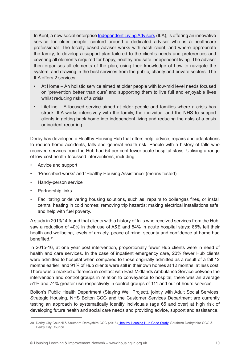In Kent, a new social enterprise [Independent Living Advisers](http://www.firststopcareadvice.org.uk/new-innovative-independent-living-service-for-older-people-in-kent/) (ILA), is offering an innovative service for older people, centred around a dedicated adviser who is a healthcare professional. The locally based adviser works with each client, and where appropriate the family, to develop a support plan tailored to the client's needs and preferences and covering all elements required for happy, healthy and safe independent living. The adviser then organises all elements of the plan, using their knowledge of how to navigate the system, and drawing in the best services from the public, charity and private sectors. The ILA offers 2 services:

- At Home An holistic service aimed at older people with low-mid level needs focused on 'prevention better than cure' and supporting them to live full and enjoyable lives whilst reducing risks of a crisis;
- LifeLine  $-$  A focused service aimed at older people and families where a crisis has struck. ILA works intensively with the family, the individual and the NHS to support clients in getting back home into independent living and reducing the risks of a crisis or incident recurring.

Derby has developed a Healthy Housing Hub that offers help, advice, repairs and adaptations to reduce home accidents, falls and general health risk. People with a history of falls who received services from the Hub had 54 per cent fewer acute hospital stays. Utilising a range of low-cost health-focussed interventions, including:

- Advice and support
- 'Prescribed works' and 'Healthy Housing Assistance' (means tested)
- Handy-person service
- **Partnership links**
- • Facilitating or delivering housing solutions, such as: repairs to boiler/gas fires, or install central heating in cold homes; removing trip hazards; making electrical installations safe; and help with fuel poverty.

A study in 2013/14 found that clients with a history of falls who received services from the Hub, saw a reduction of 40% in their use of A&E and 54% in acute hospital stays; 86% felt their health and wellbeing, levels of anxiety, peace of mind, security and confidence at home had benefited<sup>30</sup>

In 2015-16, at one year post intervention, proportionally fewer Hub clients were in need of health and care services. In the case of inpatient emergency care, 20% fewer Hub clients were admitted to hospital when compared to those originally admitted as a result of a fall 12 months earlier; and 91% of Hub clients were still in their own homes at 12 months, at less cost. There was a marked difference in contact with East Midlands Ambulance Service between the intervention and control groups in relation to conveyance to hospital; there was an average 51% and 74% greater use respectively in control groups of 111 and out-of-hours services.

Bolton's Public Health Department (Staying Well Project), jointly with Adult Social Services, Strategic Housing, NHS Bolton CCG and the Customer Services Department are currently testing an approach to systematically identify individuals (age 65 and over) at high risk of developing future health and social care needs and providing advice, support and assistance.

<sup>30</sup> Derby City Council & Southern Derbyshire CCG (2016) [Healthy Housing Hub Case Study](http://local.gov.uk/documents/10180/7631635/innovation+database+-+derby+-+Healthy+Housing+Hub+-+Derby+City+06-16+20+june+2016.pdf/fb5bd01b-51f4-4c84-ac74-09727c31acab), Southern Derbyshire CCG & Derby City Council.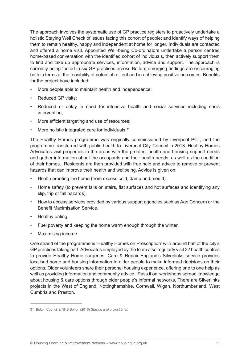The approach involves the systematic use of GP practice registers to proactively undertake a holistic Staying Well Check of issues facing this cohort of people; and identify ways of helping them to remain healthy, happy and independent at home for longer. Individuals are contacted and offered a home visit. Appointed Well-being Co-ordinators undertake a person centred home-based conversation with the identified cohort of individuals, then actively support them to find and take up appropriate services, information, advice and support. The approach is currently being tested in six GP practices across Bolton; emerging findings are encouraging both in terms of the feasibility of potential roll out and in achieving positive outcomes. Benefits for the project have included:

- More people able to maintain health and independence;
- Reduced GP visits:
- Reduced or delay in need for intensive health and social services including crisis intervention;
- More efficient targeting and use of resources;
- More holistic integrated care for individuals.<sup>31</sup>

The Healthy Homes programme was originally commissioned by Liverpool PCT, and the programme transferred with public health to Liverpool City Council in 2013. Healthy Homes Advocates visit properties in the areas with the greatest health and housing support needs and gather information about the occupants and their health needs, as well as the condition of their homes. Residents are then provided with free help and advice to remove or prevent hazards that can improve their health and wellbeing. Advice is given on:

- Health proofing the home (from excess cold, damp and mould).
- • Home safety (to prevent falls on stairs, flat surfaces and hot surfaces and identifying any slip, trip or fall hazards).
- • How to access services provided by various support agencies such as Age Concern or the Benefit Maximisation Service.
- Healthy eating.
- Fuel poverty and keeping the home warm enough through the winter.
- Maximising income.

One strand of the programme is 'Healthy Homes on Prescription' with around half of the city's GP practices taking part. Advocates employed by the team also regularly visit 32 health centres to provide Healthy Home surgeries. Care & Repair England's Silverlinks service provides localised home and housing information to older people to make informed decisions on their options. Older volunteers share their personal housing experience, offering one to one help as well as providing information and community advice. 'Pass it on' workshops spread knowledge about housing & care options through older people's informal networks. There are Silverlinks projects in the West of England, Nottinghamshire, Cornwall, Wigan, Northumberland, West Cumbria and Preston.

<sup>31</sup> Bolton Council & NHS Bolton (2016) *Staying well project brief*.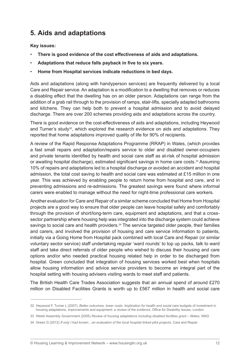# **5. Aids and adaptations**

**Key issues:**

- There is good evidence of the cost effectiveness of aids and adaptations.
- Adaptations that reduce falls payback in five to six years.
- **Home from Hospital services indicate reductions in bed days.**

Aids and adaptations (along with handyperson services) are frequently delivered by a local Care and Repair service. An adaptation is a modification to a dwelling that removes or reduces a disabling effect that the dwelling has on an older person. Adaptations can range from the addition of a grab rail through to the provision of ramps, stair-lifts, specially adapted bathrooms and kitchens. They can help both to prevent a hospital admission and to avoid delayed discharge. There are over 200 schemes providing aids and adaptations across the country.

There is good evidence on the cost-effectiveness of aids and adaptations, including Heywood and Turner's study<sup>32</sup>, which explored the research evidence on aids and adaptations. They reported that home adaptations improved quality of life for 90% of recipients.

A review of the Rapid Response Adaptations Programme (RRAP) in Wales, (which provides a fast small repairs and adaptation/repairs service to older and disabled owner-occupiers and private tenants identified by health and social care staff as at-risk of hospital admission or awaiting hospital discharge), estimated significant savings in home care costs.<sup>33</sup> Assuming 10% of repairs and adaptations led to a hospital discharge or avoided an accident and hospital admission, the total cost saving to health and social care was estimated at £15 million in one year. This was achieved by enabling people to return home from hospital and care, and in preventing admissions and re-admissions. The greatest savings were found where informal carers were enabled to manage without the need for night-time professional care workers.

Another evaluation for Care and Repair of a similar scheme concluded that Home from Hospital projects are a good way to ensure that older people can leave hospital safely and comfortably through the provision of short/long-term care, equipment and adaptations, and that a crosssector partnership where housing help was integrated into the discharge system could achieve savings to social care and health providers.<sup>34</sup> The service targeted older people, their families and carers, and involved the provision of housing and care service information to patients, initially via a Going Home from Hospital pack combined with local Care and Repair (or similar voluntary sector service) staff undertaking regular 'ward rounds' to top up packs, talk to ward staff and take direct referrals of older people who wished to discuss their housing and care options and/or who needed practical housing related help in order to be discharged from hospital. Green concluded that integration of housing services worked best when hospitals allow housing information and advice service providers to become an integral part of the hospital setting with housing advisers visiting wards to meet staff and patients.

The British Health Care Trades Association suggests that an annual spend of around £270 million on Disabled Facilities Grants is worth up to £567 million in health and social care

<sup>32</sup> Heywood F, Turner L (2007), *Better outcomes, lower costs. Implication for health and social* care budgets of investment in housing adaptations, improvements and equipment: a *review of the evidence*, Office for Disability Issues, London

<sup>33</sup> Welsh Assembly Government (2005) *Review of housing adaptations including disabled facilities grant – Wales*, WAG

<sup>34</sup> Green G (2012) *If only I had known…an evaluation of the local hospital linked pilot projects*, Care and Repair.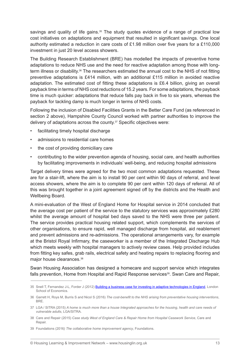savings and quality of life gains.<sup>35</sup> The study quotes evidence of a range of practical low cost initiatives on adaptations and equipment that resulted in significant savings. One local authority estimated a reduction in care costs of £1.98 million over five years for a £110,000 investment in just 20 level access showers.

The Building Research Establishment (BRE) has modelled the impacts of preventive home adaptations to reduce NHS use and the need for reactive adaptation among those with longterm illness or disability.36 The researchers estimated the annual cost to the NHS of not fitting preventive adaptations is £414 million, with an additional £115 million in avoided reactive adaptation. The estimated cost of fitting these adaptations is £6.4 billion, giving an overall payback time in terms of NHS cost reductions of 15.2 years. For some adaptations, the payback time is much quicker: adaptations that reduce falls pay back in five to six years, whereas the payback for tackling damp is much longer in terms of NHS costs.

Following the inclusion of Disabled Facilities Grants in the Better Care Fund (as referenced in section 2 above), Hampshire County Council worked with partner authorities to improve the delivery of adaptations across the county.<sup>37</sup> Specific objectives were:

- facilitating timely hospital discharge
- admissions to residential care homes
- the cost of providing domiciliary care
- contributing to the wider prevention agenda of housing, social care, and health authorities by facilitating improvements in individuals' well-being, and reducing hospital admissions

Target delivery times were agreed for the two most common adaptations requested. These are for a stair-lift, where the aim is to install 90 per cent within 90 days of referral, and level access showers, where the aim is to complete 90 per cent within 120 days of referral. All of this was brought together in a joint agreement signed off by the districts and the Health and Wellbeing Board.

A mini-evaluation of the West of England Home for Hospital service in 2014 concluded that the average cost per patient of the service to the statutory services was approximately £280 whilst the average amount of hospital bed days saved to the NHS were three per patient. The service provides practical housing related support, which complements the services of other organisations, to ensure rapid, well managed discharge from hospital, aid reablement and prevent admissions and re-admissions. The operational arrangements vary, for example at the Bristol Royal Infirmary, the caseworker is a member of the Integrated Discharge Hub which meets weekly with hospital managers to actively review cases. Help provided includes from fitting key safes, grab rails, electrical safety and heating repairs to replacing flooring and major house clearances.38

Swan Housing Association has designed a homecare and support service which integrates falls prevention, Home from Hospital and Rapid Response services<sup>39</sup>. Swan Care and Repair,

39 Foundations (2016*) The collaborative home improvement agency*, Foundations.

<sup>35</sup> Snell T, Fernandez J-L, Forder J (2012) [Building a business case for investing in adaptive technologies in England,](http://www.pssru.ac.uk/archive/pdf/dp2831.pdf) London School of Economics.

<sup>36</sup> Garrett H, Roys M, Burris S and Nicol S (2016) *The cost-benefit to the NHS arising from preventative housing interventions*, BRE.

<sup>37</sup> LGA / SITRA (2015) *A home is much more than a house Integrated approaches for the housing, health and care needs of vulnerable adults*, LGA/SITRA.

<sup>38</sup> Care and Repair (2015) *Case study West of England Care & Repair Home from Hospital Casework Service*, Care and Repair.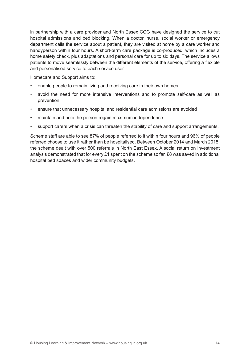in partnership with a care provider and North Essex CCG have designed the service to cut hospital admissions and bed blocking. When a doctor, nurse, social worker or emergency department calls the service about a patient, they are visited at home by a care worker and handyperson within four hours. A short-term care package is co-produced, which includes a home safety check, plus adaptations and personal care for up to six days. The service allows patients to move seamlessly between the different elements of the service, offering a flexible and personalised service to each service user.

Homecare and Support aims to:

- enable people to remain living and receiving care in their own homes
- avoid the need for more intensive interventions and to promote self-care as well as prevention
- ensure that unnecessary hospital and residential care admissions are avoided
- maintain and help the person regain maximum independence
- support carers when a crisis can threaten the stability of care and support arrangements.

Scheme staff are able to see 87% of people referred to it within four hours and 96% of people referred choose to use it rather than be hospitalised. Between October 2014 and March 2015, the scheme dealt with over 500 referrals in North East Essex. A social return on investment analysis demonstrated that for every £1 spent on the scheme so far, £8 was saved in additional hospital bed spaces and wider community budgets.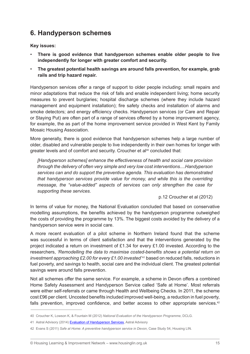### **6. Handyperson schemes**

**Key issues:**

- There is good evidence that handyperson schemes enable older people to live **independently for longer with greater comfort and security.**
- • **The greatest potential health savings are around falls prevention, for example, grab rails and trip hazard repair.**

Handyperson services offer a range of support to older people including: small repairs and minor adaptations that reduce the risk of falls and enable independent living; home security measures to prevent burglaries; hospital discharge schemes (where they include hazard management and equipment installation); fire safety checks and installation of alarms and smoke detectors; and energy efficiency checks. Handyperson services (or Care and Repair or Staying Put) are often part of a range of services offered by a home improvement agency, for example, the as part of the home improvement service provided in West Kent by Family Mosaic Housing Association.

More generally, there is good evidence that handyperson schemes help a large number of older, disabled and vulnerable people to live independently in their own homes for longer with greater levels and of comfort and security. Croucher et al<sup>40</sup> concluded that:

*[Handyperson schemes] enhance the effectiveness of health and social care provision through the delivery of often very simple and very low cost interventions....Handyperson services can and do support the preventive agenda. This evaluation has demonstrated that handyperson services provide value for money, and while this is the overriding message, the "value-added" aspects of services can only strengthen the case for supporting these services.*

p.12 Croucher et al (2012)

In terms of value for money, the National Evaluation concluded that based on conservative modelling assumptions, the benefits achieved by the handyperson programme outweighed the costs of providing the programme by 13%. The biggest costs avoided by the delivery of a handyperson service were in social care.

A more recent evaluation of a pilot scheme in Northern Ireland found that the scheme was successful in terms of client satisfaction and that the interventions generated by the project indicated a return on investment of £1.34 for every £1.00 invested. According to the researchers, *'Remodelling the data to maximise costed-benefits shows a potential return on investment approaching £2.00 for every £1.00 invested*<sup>'41</sup> based on reduced falls, reductions in fuel poverty, and savings to health, social care and the individual client. The greatest potential savings were around falls prevention.

Not all schemes offer the same service. For example, a scheme in Devon offers a combined Home Safety Assessment and Handyperson Service called 'Safe at Home'. Most referrals were either self-referrals or came through Health and Wellbeing Checks. In 2011, the scheme cost £96 per client. Uncosted benefits included improved well-being, a reduction in fuel poverty, falls prevention, improved confidence, and better access to other appropriate services.<sup>42</sup>

<sup>40</sup> Croucher K, Lowson K, & Fountain M (2012) *National Evaluation of the Handyperson Programme*, DCLG.

<sup>41</sup> Astral Advisory (2014) [Evaluation of Handyperson Services](https://www.qub.ac.uk/research-centres/TheInstituteofSpatialandEnvironmentalPlanning/Impact/CurrentResearchProjects/LearningtoAge/Community/filestore/Filetoupload,489464,en.pdf), Astral Advisory

<sup>42</sup> Evans S (2011) *Safe at Home: A preventive handyperson service in Devon*, Case Study 54, Housing LIN.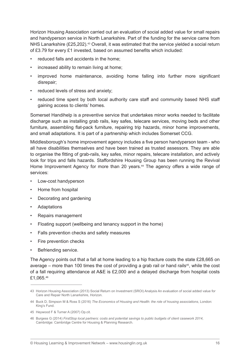Horizon Housing Association carried out an evaluation of social added value for small repairs and handyperson service in North Lanarkshire. Part of the funding for the service came from NHS Lanarkshire (£25,202).<sup>43</sup> Overall, it was estimated that the service vielded a social return of £3.79 for every £1 invested, based on assumed benefits which included:

- reduced falls and accidents in the home:
- increased ability to remain living at home;
- improved home maintenance, avoiding home falling into further more significant disrepair;
- reduced levels of stress and anxiety:
- reduced time spent by both local authority care staff and community based NHS staff gaining access to clients' homes.

Somerset Handihelp is a preventive service that undertakes minor works needed to facilitate discharge such as installing grab rails, key safes, telecare services, moving beds and other furniture, assembling flat-pack furniture, repairing trip hazards, minor home improvements, and small adaptations. It is part of a partnership which includes Somerset CCG.

Middlesborough's home improvement agency includes a five person handyperson team - who all have disabilities themselves and have been trained as trusted assessors. They are able to organise the fitting of grab-rails, key safes, minor repairs, telecare installation, and actively look for trips and falls hazards. Staffordshire Housing Group has been running the Revival Home Improvement Agency for more than 20 years.<sup>44</sup> The agency offers a wide range of services:

- Low-cost handyperson
- Home from hospital
- Decorating and gardening
- **Adaptations**
- • Repairs management
- Floating support (wellbeing and tenancy support in the home)
- Falls prevention checks and safety measures
- Fire prevention checks
- Befriending service.

The Agency points out that a fall at home leading to a hip fracture costs the state £28,665 on average – more than 100 times the cost of providing a grab rail or hand rails<sup>45</sup>, while the cost of a fall requiring attendance at A&E is £2,000 and a delayed discharge from hospital costs £1,065.46

<sup>43</sup> Horizon Housing Association (2013) Social Return on Investment (SROI) Analysis An evaluation of social added value for Care and Repair North Lanarkshire, Horizon.

<sup>44</sup> Buck D, Simpson M & Ross S (2016) *The Economics of Housing and Health: the role of housing associations*, London: King's Fund.

<sup>45</sup> Heywood F & Turner A (2007) Op.cit.

<sup>46</sup> Burgess G (2014) *FirstStop local partners: costs and potential savings to public budgets of client casework 2014*, Cambridge: Cambridge Centre for Housing & Planning Research.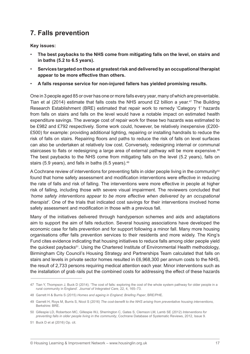# **7. Falls prevention**

**Key issues:**

- The best paybacks to the NHS come from mitigating falls on the level, on stairs and **in baths (5.2 to 6.5 years).**
- Services targeted on those at greatest risk and delivered by an occupational therapist **appear to be more effective than others.**
- A falls response service for non-injured fallers has yielded promising results.

One in 3 people aged 85 or over has one or more falls every year, many of which are preventable. Tian et al (2014) estimate that falls costs the NHS around  $£2$  billion a year.<sup>47</sup> The Building Research Establishment (BRE) estimated that repair work to remedy 'Category 1' hazards from falls on stairs and falls on the level would have a notable impact on estimated health expenditure savings. The average cost of repair work for these two hazards was estimated to be £982 and £792 respectively. Some work could, however, be relatively inexpensive (£200- £500) for example: providing additional lighting, repairing or installing handrails to reduce the risk of falls on stairs. Repairing floors and paths to reduce the risk of falls on level surfaces can also be undertaken at relatively low cost. Conversely, redesigning internal or communal staircases to flats or redesigning a large area of external pathway will be more expensive.<sup>48</sup> The best paybacks to the NHS come from mitigating falls on the level (5.2 years), falls on stairs (5.9 years), and falls in baths (6.5 years).<sup>49</sup>

A Cochrane review of interventions for preventing falls in older people living in the community<sup>50</sup> found that home safety assessment and modification interventions were effective in reducing the rate of falls and risk of falling. The interventions were more effective in people at higher risk of falling, including those with severe visual impairment. The reviewers concluded that *'home safety interventions appear to be more effective when delivered by an occupational therapist'*. One of the trials that indicated cost savings for their interventions involved home safety assessment and modification in those with a previous fall.

Many of the initiatives delivered through handyperson schemes and aids and adaptations aim to support the aim of falls reduction. Several housing associations have developed the economic case for falls prevention and for support following a minor fall. Many more housing organisations offer falls prevention services to their residents and more widely. The King's Fund cites evidence indicating that housing initiatives to reduce falls among older people yield the quickest paybacks<sup>51</sup>. Using the Chartered Institute of Environmental Health methodology, Birmingham City Council's Housing Strategy and Partnerships Team calculated that falls on stairs and levels in private sector homes resulted in £6,968,300 per annum costs to the NHS, the result of 2,733 persons requiring medical attention each year. Minor interventions such as the installation of grab rails put the combined costs for addressing the effect of these hazards

<sup>47</sup> Tian Y, Thompson J, Buck D (2014). 'The cost of falls: exploring the cost of the whole system pathway for older people in a rural community in England'. *Journal of Integrated Care*, 22, 4, 165–73.

<sup>48</sup> Garrett H & Burris S (2015) *Homes and ageing in England; Briefing Paper*, BRE/PHE.

<sup>49</sup> Garrett H, Roys M, Burris S, Nicol S (2016) *The cost-benefit to the NHS arising from preventative housing interventions*, Berkshire: BRE.

<sup>50</sup> Gillespie LD, Robertson MC, Gillespie WJ, Sherrington C, Gates S, Clemson LM, Lamb SE (2012) *Interventions for preventing falls in older people living in the community*, Cochrane Database of Systematic Reviews, 2012, Issue 9.

<sup>51</sup> Buck D et al (2016) Op. cit.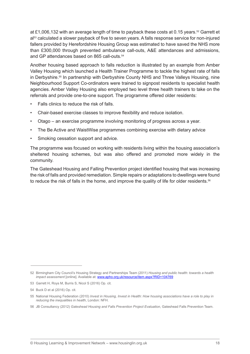at £1,006,132 with an average length of time to payback these costs at 0.15 years.52 Garrett et al<sup>53</sup> calculated a slower payback of five to seven years. A falls response service for non-injured fallers provided by Herefordshire Housing Group was estimated to have saved the NHS more than £300,000 through prevented ambulance call-outs, A&E attendances and admissions, and GP attendances based on 865 call-outs.<sup>54</sup>

Another housing based approach to falls reduction is illustrated by an example from Amber Valley Housing which launched a Health Trainer Programme to tackle the highest rate of falls in Derbyshire.55 In partnership with Derbyshire County NHS and Three Valleys Housing, nine Neighbourhood Support Co-ordinators were trained to signpost residents to specialist health agencies. Amber Valley Housing also employed two level three health trainers to take on the referrals and provide one-to-one support. The programme offered older residents:

- Falls clinics to reduce the risk of falls.
- Chair-based exercise classes to improve flexibility and reduce isolation.
- Otago an exercise programme involving monitoring of progress across a year.
- The Be Active and Waist Wise programmes combining exercise with dietary advice
- Smoking cessation support and advice.

The programme was focused on working with residents living within the housing association's sheltered housing schemes, but was also offered and promoted more widely in the community.

The Gateshead Housing and Falling Prevention project identified housing that was increasing the risk of falls and provided remediation. Simple repairs or adaptations to dwellings were found to reduce the risk of falls in the home, and improve the quality of life for older residents.<sup>56</sup>

<sup>52</sup> Birmingham City Council's Housing Strategy and Partnerships Team (2011) *Housing and public health: towards a health impact assessment* [online]. Available at: [www.apho.org.uk/resource/item.aspx?RID=104769](http://www.apho.org.uk/resource/item.aspx?RID=104769)

<sup>53</sup> Garrett H, Roys M, Burris S, Nicol S (2016) Op. cit.

<sup>54</sup> Buck D et al (2016) Op. cit.

<sup>55</sup> National Housing Federation (2010) *Invest in Housing, Invest in Health: How housing associations have a role to play in reducing the inequalities in health*, London: NFH.

<sup>56</sup> JB Consultancy (2012) *Gateshead Housing and Falls Prevention Project Evaluation*, Gateshead Falls Prevention Team.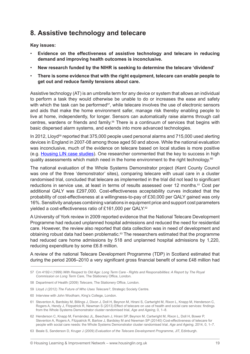### **8. Assistive technology and telecare**

**Key issues:**

- Evidence on the effectiveness of assistive technology and telecare in reducing **demand and improving health outcomes is inconclusive.**
- New research funded by the NIHR is seeking to determine the telecare 'dividend'
- There is some evidence that with the right equipment, telecare can enable people to **get out and reduce family tensions about care.**

Assistive technology (AT) is an umbrella term for any device or system that allows an individual to perform a task they would otherwise be unable to do or increases the ease and safety with which the task can be performed $57$ , while telecare involves the use of electronic sensors and aids that make the home environment safer, manage risk thereby enabling people to live at home, independently, for longer. Sensors can automatically raise alarms through call centres, wardens or friends and family.58 There is a continuum of services that begins with basic dispersed alarm systems, and extends into more advanced technologies.

In 2012, Lloyd<sup>59</sup> reported that 375,000 people used personal alarms and 715,000 used alerting devices in England in 2007-08 among those aged 50 and above. While the national evaluation was inconclusive, much of the evidence on telecare based on local studies is more positive (e.g. [Housing LIN case studies](http://www.housinglin.org.uk/Topics/browse/HousingOlderPeople/OlderPeopleHousingProvision/Telecare/)). One researcher commented that the key to success in high quality assessments which match need in the home environment to the right technology.<sup>60</sup>

The national evaluation of the Whole Systems Demonstrator project (Kent County Council was one of the three 'demonstrator' sites), comparing telecare with usual care in a cluster randomised trial, concluded that telecare as implemented in the trial did not lead to significant reductions in service use, at least in terms of results assessed over 12 months.<sup>61</sup> Cost per additional QALY was £297,000. Cost-effectiveness acceptability curves indicated that the probability of cost-effectiveness at a willingness-to-pay of £30,000 per QALY gained was only 16%. Sensitivity analyses combining variations in equipment price and support cost parameters yielded a cost-effectiveness ratio of £161,000 per QALY.62

A University of York review in 2009 reported evidence that the National Telecare Development Programme had reduced unplanned hospital admissions and reduced the need for residential care. However, the review also reported that data collection was in need of development and obtaining robust data had been problematic.<sup>63</sup> The researchers estimated that the programme had reduced care home admissions by 518 and unplanned hospital admissions by 1,220, reducing expenditure by some £6.8 million.

A review of the national Telecare Development Programme (TDP) in Scotland estimated that during the period 2006–2010 a very significant gross financial benefit of some £48 million had

<sup>57</sup> Cm 4192-I (1999) *With Respect to Old Age: Long Term Care - Rights and Responsibilities: A Report by The Royal Commission on Long Term Care*, The Stationery Office, London.

<sup>58</sup> Department of Health (2009) *Telecare*, The Stationery Office, London.

<sup>59</sup> Lloyd J (2012) *The Future of Who Uses Telecare?*, Strategic Society Centre.

<sup>60</sup> Interview with John Woolham, King's College, London.

<sup>61</sup> Steventon A, Bardsley M, Billings J, Dixon J, Doll H, Beynon M, Hirani S, Cartwright M, Rixon L, Knapp M, Henderson C, Rogers A, Hendy J, Fitzpatrick R, Newman S (2013) Effect of telecare on use of health and social care services: findings from the Whole Systems Demonstrator cluster randomised trial, *Age and Ageing*, 0, 1–8.

<sup>62</sup> Henderson C, Knapp M, Fernández JL, Beecham J, Hirani SP, Beynon M, Cartwright M, Rixon L, Doll H, Bower P, Steventon A, Rogers A, Fitzpatrick R, Barlow J, Bardsley M and Newman SP (20140) Cost-effectiveness of telecare for people with social care needs: the Whole Systems Demonstrator cluster randomised trial, *Age and Ageing*, 2014, 0, 1–7.

<sup>63</sup> Beale S, Sanderson D, Kruger J (2009) *Evaluation of the Telecare Development Programme*, JIT, Edinburgh.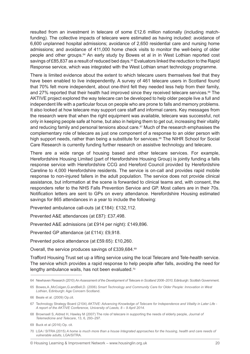resulted from an investment in telecare of some £12.6 million nationally (including matchfunding). The collective impacts of telecare were estimated as having included: avoidance of 6,600 unplanned hospital admissions; avoidance of 2,650 residential care and nursing home admissions; and avoidance of 411,000 home check visits to monitor the well-being of older people and other groups.64 An early study by Bowes et al in in West Lothian reported cost savings of £85,837 as a result of reduced bed days.<sup>65</sup> Evaluators linked the reduction to the Rapid Response service, which was integrated with the West Lothian smart technology programme.

There is limited evidence about the extent to which telecare users themselves feel that they have been enabled to live independently. A survey of 461 telecare users in Scotland found that 70% felt more independent, about one-third felt they needed less help from their family, and 27% reported that their health had improved since they received telecare services.<sup>66</sup> The AKTIVE project explored the way telecare can be developed to help older people live a full and independent life with a particular focus on people who are prone to falls and memory problems. It also looked at how telecare may support care staff and informal carers. Key messages from the research were that when the right equipment was available, telecare was successful, not only in keeping people safe at home, but also in helping them to get out, increasing their vitality and reducing family and personal tensions about care.<sup>67</sup> Much of the research emphasises the complementary role of telecare as just one component of a response to an older person with high support needs, rather than being a substitute for services.<sup>68</sup> The NIHR School for Social Care Research is currently funding further research on assistive technology and telecare.

There are a wide range of housing based and other telecare services. For example, Herefordshire Housing Limited (part of Herefordshire Housing Group) is jointly funding a falls response service with Herefordshire CCG and Hereford Council provided by Herefordshire Careline to 4,000 Herefordshire residents. The service is on-call and provides rapid mobile response to non-injured fallers in the adult population. The service does not provide clinical assistance, but information at the scene is forwarded to clinical teams and, with consent, the responders refer to the NHS Falls Prevention Service and GP. Most callers are in their 70s. Notification letters are sent to GPs on every attendance. Herefordshire Housing estimated savings for 865 attendances in a year to include the following:

Prevented ambulance call-outs (at £184): £132,112.

Prevented A&E attendances (at £87): £37,498.

Prevented A&E admissions (at £914 per night): £149,896.

Prevented GP attendance (at £114): £9,918.

Prevented police attendance (at £59.65): £10,260.

Overall, the service produces savings of £339,684.69

Trafford Housing Trust set up a lifting service using the local Telecare and Tele-health service. The service which provides a rapid response to help people after falls, avoiding the need for lengthy ambulance waits, has not been evaluated.70

<sup>64</sup> Newhaven Research (2010) *An Assessment of the Development of Telecare in Scotland 2006–2010*, Edinburgh: Scottish Government.

<sup>65</sup> Bowes,A.,McColgan,G.andBell,D. (2006) *Smart Technology and Community Care for Older People: Innovation in West Lothian*, Edinburgh: Age Concern Scotland.

<sup>66</sup> Beale et al. (2009) Op.cit.

<sup>67</sup> Technology Strategy Board (2104) *AKTIVE: Advancing Knowledge of Telecare for Independence and Vitality in Later Life - A report of the AKTIVE Conference, University of Leeds, 8 – 9 April 2014*.

<sup>68</sup> Brownsell S, Aldred H, Hawley M (2007) The role of telecare in supporting the needs of elderly people, *Journal of Telemedicine and Telecare*, 13, 6, 293–297.

<sup>69</sup> Buck et al (2016) Op. cit.

<sup>70</sup> LGA / SITRA (2015) *A home is much more than a house Integrated approaches for the housing, health and care needs of vulnerable adults*, LGA/SITRA.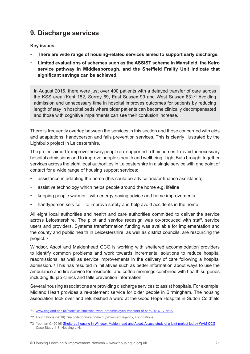# **9. Discharge services**

**Key issues:**

- There are wide range of housing-related services aimed to support early discharge.
- **Limited evaluations of schemes such as the ASSIST scheme in Mansfield, the Keiro service pathway in Middlesborough, and the Sheffield Frailty Unit indicate that significant savings can be achieved.**

In August 2016, there were just over 400 patients with a delayed transfer of care across the KSS area (Kent 152, Surrey 69, East Sussex 99 and West Sussex 83).<sup>71</sup> Avoiding admission and unnecessary time in hospital improves outcomes for patients by reducing length of stay in hospital beds where older patients can become clinically decompensated and those with cognitive impairments can see their confusion increase.

There is frequently overlap between the services in this section and those concerned with aids and adaptations, handyperson and falls prevention services. This is clearly illustrated by the Lightbulb project in Leicestershire.

The project aimed to improve the way people are supported in their homes, to avoid unnecessary hospital admissions and to improve people's health and wellbeing. Light Bulb brought together services across the eight local authorities in Leicestershire in a single service with one point of contact for a wide range of housing support services:

- assistance in adapting the home (this could be advice and/or finance assistance)
- assistive technology which helps people around the home e.g. lifeline
- keeping people warmer with energy-saving advice and home improvements
- handyperson service  $-$  to improve safety and help avoid accidents in the home

All eight local authorities and health and care authorities committed to deliver the service across Leicestershire. The pilot and service redesign was co-produced with staff, service users and providers. Systems transformation funding was available for implementation and the county and public health in Leicestershire, as well as district councils, are resourcing the project.72

Windsor, Ascot and Maidenhead CCG is working with sheltered accommodation providers to identify common problems and work towards incremental solutions to reduce hospital readmissions, as well as service improvements in the delivery of care following a hospital admission.73 This has resulted in initiatives such as better information about ways to use the ambulance and fire service for residents; and coffee mornings combined with health surgeries including flu jab clinics and falls prevention information.

Several housing associations are providing discharge services to assist hospitals. For example, Midland Heart provides a re-ablement service for older people in Birmingham. The housing association took over and refurbished a ward at the Good Hope Hospital in Sutton Coldfield

<sup>71</sup> [www.england.nhs.uk/statistics/statistical-work-areas/delayed-transfers-of-care/2016-17-data/](https://www.england.nhs.uk/statistics/statistical-work-areas/delayed-transfers-of-care/2016-17-data/)

<sup>72</sup> Foundations (2016) *The collaborative home improvement agency*, Foundations.

<sup>73</sup> Yeoman C (2016) [Sheltered housing in Windsor, Maidenhead and Ascot: A case study of a joint project led by WAM CCG](http://www.housinglin.org.uk/_library/Resources/Housing/Practice_examples/Housing_LIN_case_studies/HLIN_CaseStudy_118_WAM-CCG.pdf), Case Study 118, Housing LIN.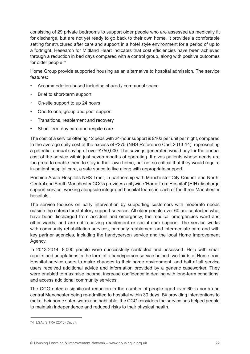consisting of 29 private bedrooms to support older people who are assessed as medically fit for discharge, but are not yet ready to go back to their own home. It provides a comfortable setting for structured after care and support in a hotel style environment for a period of up to a fortnight. Research for Midland Heart indicates that cost efficiencies have been achieved through a reduction in bed days compared with a control group, along with positive outcomes for older people.74

Home Group provide supported housing as an alternative to hospital admission. The service features:

- Accommodation-based including shared / communal space
- Brief to short-term support
- On-site support to up 24 hours
- • One-to-one, group and peer support
- • Transitions, reablement and recovery
- Short-term day care and respite care.

The cost of a service offering 12 beds with 24-hour support is £103 per unit per night, compared to the average daily cost of the excess of £275 (NHS Reference Cost 2013-14), representing a potential annual saving of over £750,000. The savings generated would pay for the annual cost of the service within just seven months of operating. It gives patients whose needs are too great to enable them to stay in their own home, but not so critical that they would require in-patient hospital care, a safe space to live along with appropriate support.

Pennine Acute Hospitals NHS Trust, in partnership with Manchester City Council and North, Central and South Manchester CCGs provides a citywide 'Home from Hospital' (HfH) discharge support service, working alongside integrated hospital teams in each of the three Manchester hospitals.

The service focuses on early intervention by supporting customers with moderate needs outside the criteria for statutory support services. All older people over 60 are contacted who: have been discharged from accident and emergency, the medical emergencies ward and other wards, and are not receiving reablement or social care support. The service works with community rehabilitation services, primarily reablement and intermediate care and with key partner agencies, including the handyperson service and the local Home Improvement Agency.

In 2013-2014, 8,000 people were successfully contacted and assessed. Help with small repairs and adaptations in the form of a handyperson service helped two-thirds of Home from Hospital service users to make changes to their home environment, and half of all service users received additional advice and information provided by a generic caseworker. They were enabled to maximise income, increase confidence in dealing with long-term conditions, and access additional community services.

The CCG noted a significant reduction in the number of people aged over 60 in north and central Manchester being re-admitted to hospital within 30 days. By providing interventions to make their home safer, warm and habitable, the CCG considers the service has helped people to maintain independence and reduced risks to their physical health.

<sup>74</sup> LGA / SITRA (2015) Op. cit.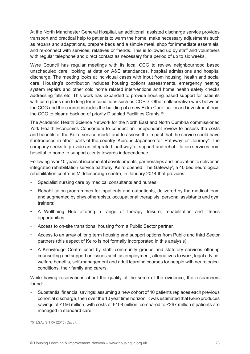At the North Manchester General Hospital, an additional, assisted discharge service provides transport and practical help to patients to warm the home, make necessary adjustments such as repairs and adaptations, prepare beds and a simple meal, shop for immediate essentials, and re-connect with services, relatives or friends. This is followed up by staff and volunteers with regular telephone and direct contact as necessary for a period of up to six weeks.

Wyre Council has regular meetings with its local CCG to review neighbourhood based unscheduled care, looking at data on A&E attendances, hospital admissions and hospital discharge. The meeting looks at individual cases with input from housing, health and social care. Housing's contribution includes housing options assessments, emergency heating system repairs and other cold home related interventions and home health safety checks addressing falls etc. This work has expanded to provide housing based support for patients with care plans due to long term conditions such as COPD. Other collaborative work between the CCG and the council includes the building of a new Extra Care facility and investment from the CCG to clear a backlog of priority Disabled Facilities Grants.<sup>75</sup>

The Academic Health Science Network for the North East and North Cumbria commissioned York Health Economics Consortium to conduct an independent review to assess the costs and benefits of the Keiro service model and to assess the impact that the service could have if introduced in other parts of the country. Keiro is Japanese for 'Pathway' or 'Journey'. The company seeks to provide an integrated 'pathway' of support and rehabilitation services from hospital to home to support clients towards independence.

Following over 10 years of incremental developments, partnerships and innovation to deliver an integrated rehabilitation service pathway, Keiro opened 'The Gateway', a 40 bed neurological rehabilitation centre in Middlesbrough centre, in January 2014 that provides:

- Specialist nursing care by medical consultants and nurses;
- Rehabilitation programmes for inpatients and outpatients, delivered by the medical team and augmented by physiotherapists, occupational therapists, personal assistants and gym trainers;
- • A Wellbeing Hub offering a range of therapy, leisure, rehabilitation and fitness opportunities;
- • Access to on-site transitional housing from a Public Sector partner.
- • Access to an array of long term housing and support options from Public and third Sector partners (this aspect of Keiro is not formally incorporated in this analysis).
- A Knowledge Centre used by staff, community groups and statutory services offering counselling and support on issues such as employment, alternatives to work, legal advice, welfare benefits, self-management and adult learning courses for people with neurological conditions, their family and carers.

While having reservations about the quality of the some of the evidence, the researchers found:

Substantial financial savings: assuming a new cohort of 40 patients replaces each previous cohort at discharge, then over the 10 year time horizon, it was estimated that Keiro produces savings of £156 million, with costs of £108 million, compared to £267 million if patients are managed in standard care;

<sup>75</sup> LGA / SITRA (2015) Op. cit.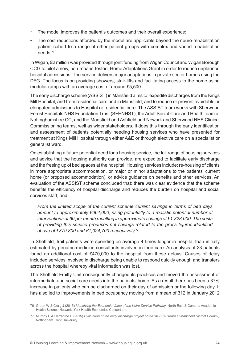- The model improves the patient's outcomes and their overall experience;
- The cost reductions afforded by the model are applicable beyond the neuro-rehabilitation patient cohort to a range of other patient groups with complex and varied rehabilitation needs.76

In Wigan, £2 million was provided through joint funding from Wigan Council and Wigan Borough CCG to pilot a new, non-means-tested, Home Adaptations Grant in order to reduce unplanned hospital admissions. The service delivers major adaptations in private sector homes using the DFG. The focus is on providing showers, stair-lifts and facilitating access to the home using modular ramps with an average cost of around £5,500.

The early discharge scheme (ASSIST) in Mansfield aims to: expedite discharges from the Kings Mill Hospital, and from residential care and in Mansfield; and to reduce or prevent avoidable or elongated admissions to Hospital or residential care. The ASSIST team works with Sherwood Forest Hospitals NHS Foundation Trust (SFHNHST), the Adult Social Care and Health team at Nottinghamshire CC, and the Mansfield and Ashfield and Newark and Sherwood NHS Clinical Commissioning teams, well as wider stakeholders. It does this through the early identification and assessment of patients potentially needing housing services who have presented for treatment at Kings Mill Hospital through either A&E or through elective care on a specialist or generalist ward.

On establishing a future potential need for a housing service, the full range of housing services and advice that the housing authority can provide, are expedited to facilitate early discharge and the freeing up of bed spaces at the hospital. Housing services include: re-housing of clients in more appropriate accommodation, or major or minor adaptations to the patients' current home (or proposed accommodation), or advice guidance on benefits and other services. An evaluation of the ASSIST scheme concluded that: there was clear evidence that the scheme benefits the efficiency of hospital discharge and reduces the burden on hospital and social services staff; and

*From the limited scope of the current scheme current savings in terms of bed days amount to approximately £664,000, rising potentially to a realistic potential number of interventions of 60 per month resulting in approximate savings of £1,328,000. The costs of providing this service produces net savings related to the gross figures identified above of £379,800 and £1,024,700 respectively.*<sup>77</sup>

In Sheffield, frail patients were spending on average 4 times longer in hospital than initially estimated by geriatric medicine consultants involved in their care. An analysis of 23 patients found an additional cost of £470,000 to the hospital from these delays. Causes of delay included services involved in discharge being unable to respond quickly enough and transfers across the hospital whereby vital information was lost.

The Sheffield Frailty Unit consequently changed its practices and moved the assessment of intermediate and social care needs into the patients' home. As a result there has been a 37% increase in patients who can be discharged on their day of admission or the following day. It has also led to improvements in bed occupancy moving from a mean of 312 in January 2012

<sup>76</sup> Green W & Craig J (2015) *Identifying the Economic Value of the Keiro Service Pathway*, North East & Cumbria Academic Health Science Network, York Health Economics Consortium.

<sup>77</sup> Murphy P & Harradine D (2015) *Evaluation of the early discharge project of the 'ASSIST' team at Mansfield District Council*, Nottingham Trent University.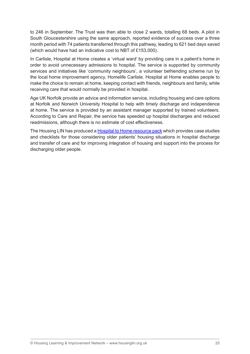to 246 in September. The Trust was then able to close 2 wards, totalling 68 beds. A pilot in South Gloucestershire using the same approach, reported evidence of success over a three month period with 74 patients transferred through this pathway, leading to 621 bed days saved (which would have had an indicative cost to NBT of £153,000).

In Carlisle, Hospital at Home creates a 'virtual ward' by providing care in a patient's home in order to avoid unnecessary admissions to hospital. The service is supported by community services and initiatives like 'community neighbours', a volunteer befriending scheme run by the local home improvement agency, Homelife Carlisle. Hospital at Home enables people to make the choice to remain at home, keeping contact with friends, neighbours and family, while receiving care that would normally be provided in hospital.

Age UK Norfolk provide an advice and information service, including housing and care options at Norfolk and Norwich University Hospital to help with timely discharge and independence at home. The service is provided by an assistant manager supported by trained volunteers. According to Care and Repair, the service has speeded up hospital discharges and reduced readmissions, although there is no estimate of cost effectiveness.

The Housing LIN has produced a [Hospital to Home resource pack](http://www.housinglin.org.uk/hospital2home_pack/) which provides case studies and checklists for those considering older patients' housing situations in hospital discharge and transfer of care and for improving integration of housing and support into the process for discharging older people.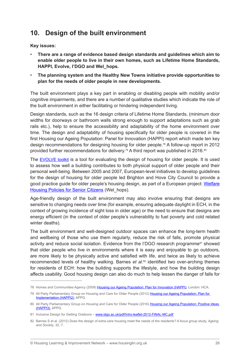### **10. Design of the built environment**

**Key issues:**

- There are a range of evidence based design standards and guidelines which aim to **enable older people to live in their own homes, such as Lifetime Home Standards, HAPPI, Evolve, I'DGO and Wel\_hops.**
- The planning system and the Healthy New Towns initiative provide opportunities to **plan for the needs of older people in new developments.**

The built environment plays a key part in enabling or disabling people with mobility and/or cognitive impairments, and there are a number of qualitative studies which indicate the role of the built environment in either facilitating or hindering independent living.

Design standards, such as the 16 design criteria of Lifetime Home Standards, (minimum door widths for doorways or bathroom walls strong enough to support adaptations such as grab rails etc.), help to ensure the accessibility and adaptability of the home environment over time. The design and adaptability of housing specifically for older people is covered in the first Housing our Ageing Population: Panel for Innovation (HAPPI) report which made ten key design recommendations for designing housing for older people.78 A follow-up report in 2012 provided further recommendations for delivery.<sup>79</sup> A third report was published in 2016.<sup>80</sup>

The [EVOLVE toolkit](http://www.housinglin.org.uk/Topics/type/resource/?cid=7997&) is a tool for evaluating the design of housing for older people. It is used to assess how well a building contributes to both physical support of older people and their personal well-being. Between 2005 and 2007, European-level initiatives to develop guidelines for the design of housing for older people led Brighton and Hove City Council to provide a good practice guide for older people's housing design, as part of a European project: [Welfare](http://www.brighton-hove.gov.uk/content/housing/general-housing/welhops-welfare-housing-policies-senior-citizens-0) [Housing Policies for Senior Citizens](http://www.brighton-hove.gov.uk/content/housing/general-housing/welhops-welfare-housing-policies-senior-citizens-0) (Wel\_hops).

Age-friendly design of the built environment may also involve ensuring that designs are sensitive to changing needs over time (for example, ensuring adequate daylight in ECH, in the context of growing incidence of sight loss in older age) or the need to ensure that designs are energy efficient (in the context of older people's vulnerability to fuel poverty and cold related winter deaths).

The built environment and well-designed outdoor spaces can enhance the long-term health and wellbeing of those who use them regularly, reduce the risk of falls, promote physical activity and reduce social isolation. Evidence from the I'DGO research programme<sup>81</sup> showed that older people who live in environments where it is easy and enjoyable to go outdoors, are more likely to be physically active and satisfied with life, and twice as likely to achieve recommended levels of healthy walking. Barnes *et al*.<sup>82</sup> identified two over-arching themes for residents of ECH: how the building supports the lifestyle, and how the building design affects usability. Good housing design can also do much to help lessen the danger of falls for

<sup>78</sup> Homes and Communities Agency (2009) [Housing our Ageing Population: Plan for Innovation \(HAPPI\)](https://www.gov.uk/government/uploads/system/uploads/attachment_data/file/378171/happi_final_report_-_031209.pdf), London: HCA.

<sup>79</sup> All Party Parliamentary Group on Housing and Care for Older People (2012) [Housing our Ageing Population: Plan for](http://www.housinglin.org.uk/_library/Resources/Housing/Support_materials/Other_reports_and_guidance/Housing_our_Ageing_Population_Plan_for_Implementation.pdf)  [Implementation \(HAPPI2\)](http://www.housinglin.org.uk/_library/Resources/Housing/Support_materials/Other_reports_and_guidance/Housing_our_Ageing_Population_Plan_for_Implementation.pdf), APPG.

<sup>80</sup> All Party Parliamentary Group on Housing and Care for Older People (2016) Housing our Ageing Population: Positive Ideas [\(HAPPI3\)](http://www.housinglin.org.uk/_library/Resources/Housing/Support_materials/Other_reports_and_guidance/HAPPI3_Report_2016.pdf), APPG.

<sup>81</sup> Inclusive Design for Getting Outdoors - [www.idgo.ac.uk/pdf/Intro-leaflet-2012-FINAL-MC.pd](http://www.idgo.ac.uk/pdf/Intro-leaflet-2012-FINAL-MC.pdf)f

<sup>82</sup> Barnes S et al. (2012) Does the design of extra-care housing meet the needs of the residents? A focus group study, *Ageing and Society*, 32, 7.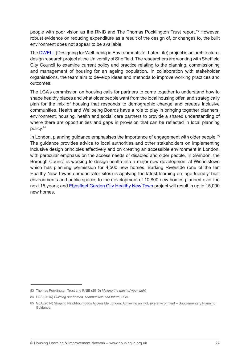people with poor vision as the RNIB and The Thomas Pocklington Trust report.83 However, robust evidence on reducing expenditure as a result of the design of, or changes to, the built environment does not appear to be available.

The [DWELL](http://dwell.group.shef.ac.uk/) (Designing for Well-being in Environments for Later Life) project is an architectural design research project at the University of Sheffield. The researchers are working with Sheffield City Council to examine current policy and practice relating to the planning, commissioning and management of housing for an ageing population. In collaboration with stakeholder organisations, the team aim to develop ideas and methods to improve working practices and outcomes.

The LGA's commission on housing calls for partners to come together to understand how to shape healthy places and what older people want from the local housing offer, and strategically plan for the mix of housing that responds to demographic change and creates inclusive communities. Health and Wellbeing Boards have a role to play in bringing together planners, environment, housing, health and social care partners to provide a shared understanding of where there are opportunities and gaps in provision that can be reflected in local planning policy.84

In London, planning quidance emphasises the importance of engagement with older people.<sup>85</sup> The guidance provides advice to local authorities and other stakeholders on implementing inclusive design principles effectively and on creating an accessible environment in London, with particular emphasis on the access needs of disabled and older people. In Swindon, the Borough Council is working to design health into a major new development at Wichelstowe which has planning permission for 4,500 new homes. Barking Riverside (one of the ten Healthy New Towns demonstrator sites) is applying the latest learning on 'age-friendly' built environments and public spaces to the development of 10,800 new homes planned over the next 15 years; and **[Ebbsfleet](https://www.england.nhs.uk/ourwork/innovation/healthy-new-towns/ebbsfleet/) Garden City Healthy New Town** project will result in up to 15,000 new homes.

<sup>83</sup> Thomas Pocklington Trust and RNIB (2010) *Making the most of your sight.*

<sup>84</sup> LGA (2016) *Building our homes, communities and future*, LGA.

<sup>85</sup> GLA (2014) Shaping Neighbourhoods Accessible London: Achieving an inclusive environment – Supplementary Planning Guidance.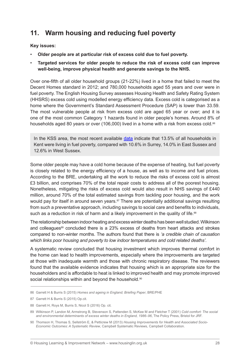### **11. Warm housing and reducing fuel poverty**

**Key issues:**

- Older people are at particular risk of excess cold due to fuel poverty.
- Targeted services for older people to reduce the risk of excess cold can improve **well-being, improve physical health and generate savings to the NHS.**

Over one-fifth of all older household groups (21-22%) lived in a home that failed to meet the Decent Homes standard in 2012; and 780,000 households aged 55 years and over were in fuel poverty. The English Housing Survey assesses Housing Health and Safety Rating System (HHSRS) excess cold using modelled energy efficiency data. Excess cold is categorised as a home where the Government's Standard Assessment Procedure (SAP) is lower than 33.59. The most vulnerable people at risk from excess cold are aged 65 year or over; and it is one of the most common Category 1 hazards found in older people's homes. Around 8% of households aged 80 years or over (106,000) lived in a home with a risk from excess cold.<sup>86</sup>

In the KSS area, the most recent available [data](https://greendealeco.wordpress.com/2012/04/14/fuel-poverty-data-for-england/) indicate that 13.5% of all households in Kent were living in fuel poverty, compared with 10.6% in Surrey, 14.0% in East Sussex and 12.6% in West Sussex.

Some older people may have a cold home because of the expense of heating, but fuel poverty is closely related to the energy efficiency of a house, as well as to income and fuel prices. According to the BRE, undertaking all the work to reduce the risks of excess cold is almost £3 billion, and comprises 70% of the total repair costs to address all of the poorest housing. Nonetheless, mitigating the risks of excess cold would also result in NHS savings of £440 million, around 70% of the total estimated savings from tackling poor housing, and the work would pay for itself in around seven years.<sup>87</sup> There are potentially additional savings resulting from such a preventative approach, including savings to social care and benefits to individuals, such as a reduction in risk of harm and a likely improvement in the quality of life.<sup>88</sup>

The relationship between indoor heating and excess winter deaths has been well studied. Wilkinson and colleagues<sup>89</sup> concluded there is a 23% excess of deaths from heart attacks and strokes compared to non-winter months. The authors found that there is *'a credible chain of causation which links poor housing and poverty to low indoor temperatures and cold related deaths'*.

A systematic review concluded that housing investment which improves thermal comfort in the home can lead to health improvements, especially where the improvements are targeted at those with inadequate warmth and those with chronic respiratory disease. The reviewers found that the available evidence indicates that housing which is an appropriate size for the householders and is affordable to heat is linked to improved health and may promote improved social relationships within and beyond the household.<sup>90</sup>

<sup>86</sup> Garrett H & Burris S (2015) *Homes and ageing in England; Briefing Paper*, BRE/PHE

<sup>87</sup> Garrett H & Burris S (2015) Op.cit.

<sup>88</sup> Garrett H, Roys M, Burris S, Nicol S (2016) Op. cit.

<sup>89</sup> Wilkinson P, Landon M, Armstrong B, Stevenson S, Pattenden S, McKee M and Fletcher T (2001) *Cold comfort: The social and environmental determinants of excess winter deaths in England, 1986–96*, The Policy Press, Bristol for JRF.

<sup>90</sup> Thomson H, Thomas S, Sellström E, & Petticrew M (2013) *Housing Improvements for Health and Associated Socio-Economic Outcomes: A Systematic Review*, Campbell Systematic Reviews, Campbell Collaboration.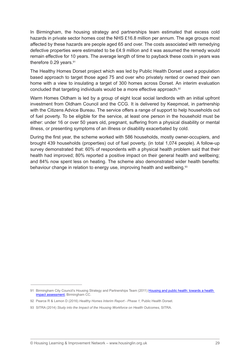In Birmingham, the housing strategy and partnerships team estimated that excess cold hazards in private sector homes cost the NHS £16.8 million per annum. The age groups most affected by these hazards are people aged 65 and over. The costs associated with remedying defective properties were estimated to be £4.9 million and it was assumed the remedy would remain effective for 10 years. The average length of time to payback these costs in years was therefore 0.29 years.<sup>91</sup>

The Healthy Homes Dorset project which was led by Public Health Dorset used a population based approach to target those aged 75 and over who privately rented or owned their own home with a view to insulating a target of 300 homes across Dorset. An interim evaluation concluded that targeting individuals would be a more effective approach.92

Warm Homes Oldham is led by a group of eight local social landlords with an initial upfront investment from Oldham Council and the CCG. It is delivered by Keepmoat, in partnership with the Citizens Advice Bureau. The service offers a range of support to help households out of fuel poverty. To be eligible for the service, at least one person in the household must be either: under 16 or over 50 years old, pregnant, suffering from a physical disability or mental illness, or presenting symptoms of an illness or disability exacerbated by cold.

During the first year, the scheme worked with 586 households, mostly owner-occupiers, and brought 439 households (properties) out of fuel poverty, (in total 1,074 people). A follow-up survey demonstrated that: 60% of respondents with a physical health problem said that their health had improved; 80% reported a positive impact on their general health and wellbeing; and 84% now spent less on heating. The scheme also demonstrated wider health benefits: behaviour change in relation to energy use, improving health and wellbeing.93

<sup>91</sup> Birmingham City Council's Housing Strategy and Partnerships Team (2011) Housing and public health: towards a health [impact assessment](http://www.apho.org.uk/resource/item.aspx?RID=104769), Birmingham CC.

<sup>92</sup> Pearce R & Lemon D (2016) *Healthy Homes Interim Report - Phase 1*, Public Health Dorset.

<sup>93</sup> SITRA (2014) *Study into the Impact of the Housing Workforce on Health Outcomes*, SITRA.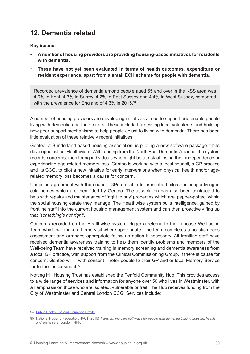### **12. Dementia related**

**Key issues:**

- • **A number of housing providers are providing housing-based initiatives for residents with dementia.**
- **These have not yet been evaluated in terms of health outcomes, expenditure or resident experience, apart from a small ECH scheme for people with dementia.**

Recorded prevalence of dementia among people aged 65 and over in the KSS area was 4.0% in Kent, 4.3% in Surrey, 4.2% in East Sussex and 4.4% in West Sussex, compared with the prevalence for England of 4.3% in 2015.<sup>94</sup>

A number of housing providers are developing initiatives aimed to support and enable people living with dementia and their carers. These include harnessing local volunteers and building new peer support mechanisms to help people adjust to living with dementia. There has been little evaluation of these relatively recent initiatives.

Gentoo, a Sunderland-based housing association, is piloting a new software package it has developed called 'Healthwise'. With funding from the North East Dementia Alliance, the system records concerns, monitoring individuals who might be at risk of losing their independence or experiencing age-related memory loss. Gentoo is working with a local council, a GP practice and its CCG, to pilot a new initiative for early interventions when physical health and/or agerelated memory loss becomes a cause for concern.

Under an agreement with the council, GPs are able to prescribe boilers for people living in cold homes which are then fitted by Gentoo. The association has also been contracted to help with repairs and maintenance of 'right to buy' properties which are 'pepper-potted' within the social housing estate they manage. The Healthwise system pulls intelligence, gained by frontline staff into the current housing management system and can then proactively flag up that *'something's not right'*.

Concerns recorded on the Healthwise system trigger a referral to the in-house Well-being Team which will make a home visit where appropriate. The team completes a holistic needs assessment and arranges appropriate follow-up action if necessary. All frontline staff have received dementia awareness training to help them identify problems and members of the Well-being Team have received training in memory screening and dementia awareness from a local GP practice, with support from the Clinical Commissioning Group. If there is cause for concern, Gentoo will – with consent – refer people to their GP and or local Memory Service for further assessment.<sup>95</sup>

Notting Hill Housing Trust has established the Penfold Community Hub. This provides access to a wide range of services and information for anyone over 50 who lives in Westminster, with an emphasis on those who are isolated, vulnerable or frail. The Hub receives funding from the City of Westminster and Central London CCG. Services include:

<sup>94</sup> Public Health England [Dementia](http://fingertips.phe.org.uk/profile-group/mental-health/profile/dementia/data) Profile

<sup>95</sup> National Housing Federation/HACT (2015) *Transforming care pathways for people with dementia Linking housing, health and social care*, London: NHF.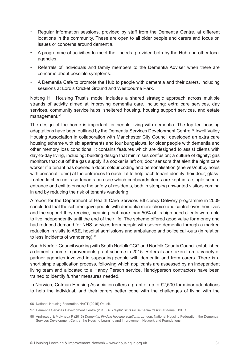- Regular information sessions, provided by staff from the Dementia Centre, at different locations in the community. These are open to all older people and carers and focus on issues or concerns around dementia.
- • A programme of activities to meet their needs, provided both by the Hub and other local agencies.
- Referrals of individuals and family members to the Dementia Adviser when there are concerns about possible symptoms.
- A Dementia Café to promote the Hub to people with dementia and their carers, including sessions at Lord's Cricket Ground and Westbourne Park.

Notting Hill Housing Trust's model includes a shared strategic approach across multiple strands of activity aimed at improving dementia care, including: extra care services, day services, community service hubs, sheltered housing, housing support services, and estate management.96

The design of the home is important for people living with dementia. The top ten housing adaptations have been outlined by the Dementia Services Development Centre.<sup>97</sup> Irwell Valley Housing Association in collaboration with Manchester City Council developed an extra care housing scheme with six apartments and four bungalows, for older people with dementia and other memory loss conditions. It contains features which are designed to assist clients with day-to-day living, including: building design that minimises confusion; a culture of dignity; gas monitors that cut off the gas supply if a cooker is left on; door sensors that alert the night care worker if a tenant has opened a door; colour coding and personalisation (shelves/cubby holes with personal items) at the entrances to each flat to help each tenant identify their door; glassfronted kitchen units so tenants can see which cupboards items are kept in; a single secure entrance and exit to ensure the safety of residents, both in stopping unwanted visitors coming in and by reducing the risk of tenants wandering.

A report for the Department of Health Care Services Efficiency Delivery programme in 2009 concluded that the scheme gave people with dementia more choice and control over their lives and the support they receive, meaning that more than 50% of its high need clients were able to live independently until the end of their life. The scheme offered good value for money and had reduced demand for NHS services from people with severe dementia through a marked reduction in visits to A&E, hospital admissions and ambulance and police call-outs (in relation to less incidents of wandering).<sup>98</sup>

South Norfolk Council working with South Norfolk CCG and Norfolk County Council established a dementia home improvements grant scheme in 2015. Referrals are taken from a variety of partner agencies involved in supporting people with dementia and from carers. There is a short simple application process, following which applicants are assessed by an independent living team and allocated to a Handy Person service. Handyperson contractors have been trained to identify further measures needed.

In Norwich, Cotman Housing Association offers a grant of up to £2,500 for minor adaptations to help the individual, and their carers better cope with the challenges of living with the

<sup>96</sup> National Housing Federation/HACT (2015) Op. cit.

<sup>97</sup> Dementia Services Development Centre (2010) *10 Helpful Hints for dementia design at home*, DSDC.

<sup>98</sup> Andrews J & Molyneux P (2013) *Dementia: Finding housing solutions*, London: National Housing Federation, the Dementia Services Development Centre, the Housing Learning and Improvement Network and Foundations.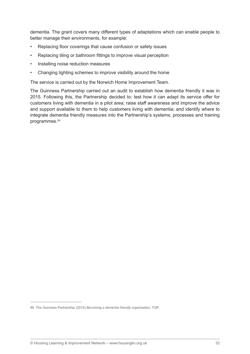dementia. The grant covers many different types of adaptations which can enable people to better manage their environments, for example:

- • Replacing floor coverings that cause confusion or safety issues
- Replacing tiling or bathroom fittings to improve visual perception
- Installing noise reduction measures
- Changing lighting schemes to improve visibility around the home

The service is carried out by the Norwich Home Improvement Team.

The Guinness Partnership carried out an audit to establish how dementia friendly it was in 2015. Following this, the Partnership decided to: test how it can adapt its service offer for customers living with dementia in a pilot area; raise staff awareness and improve the advice and support available to them to help customers living with dementia; and identify where to integrate dementia friendly measures into the Partnership's systems, processes and training programmes.99

<sup>99</sup> The Guinness Partnership (2015) *Becoming a dementia friendly organisation*, TGP.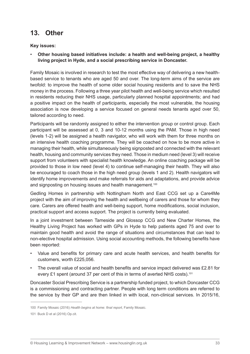### **13. Other**

#### **Key issues:**

Other housing based initiatives include: a health and well-being project, a healthy **living project in Hyde, and a social prescribing service in Doncaster.**

Family Mosaic is involved in research to test the most effective way of delivering a new healthbased service to tenants who are aged 50 and over. The long-term aims of the service are twofold: to improve the health of some older social housing residents and to save the NHS money in the process. Following a three year pilot health and well-being service which resulted in residents reducing their NHS usage, particularly planned hospital appointments; and had a positive impact on the health of participants, especially the most vulnerable, the housing association is now developing a service focused on general needs tenants aged over 50, tailored according to need.

Participants will be randomly assigned to either the intervention group or control group. Each participant will be assessed at 0, 3 and 10-12 months using the PAM. Those in high need (levels 1-2) will be assigned a health navigator, who will work with them for three months on an intensive health coaching programme. They will be coached on how to be more active in managing their health, while simultaneously being signposted and connected with the relevant health, housing and community services they need. Those in medium need (level 3) will receive support from volunteers with specialist health knowledge. An online coaching package will be provided to those in low need (level 4) to continue self-managing their health. They will also be encouraged to coach those in the high need group (levels 1 and 2). Health navigators will identify home improvements and make referrals for aids and adaptations, and provide advice and signposting on housing issues and health management.<sup>100</sup>

Gedling Homes in partnership with Nottingham North and East CCG set up a Care4Me project with the aim of improving the health and wellbeing of carers and those for whom they care. Carers are offered health and well-being support, home modifications, social inclusion, practical support and access support. The project is currently being evaluated.

In a joint investment between Tameside and Glossop CCG and New Charter Homes, the Healthy Living Project has worked with GPs in Hyde to help patients aged 75 and over to maintain good health and avoid the range of situations and circumstances that can lead to non-elective hospital admission. Using social accounting methods, the following benefits have been reported:

- Value and benefits for primary care and acute health services, and health benefits for customers, worth £225,056.
- The overall value of social and health benefits and service impact delivered was £2.81 for every £1 spent (around 37 per cent of this in terms of averted NHS costs).<sup>101</sup>

Doncaster Social Prescribing Service is a partnership funded project, to which Doncaster CCG is a commissioning and contracting partner. People with long term conditions are referred to the service by their GP and are then linked in with local, non-clinical services. In 2015/16,

<sup>100</sup> Family Mosaic (2016) *Health begins at home: final report*, Family Mosaic.

<sup>101</sup> Buck D et al (2016) Op.cit.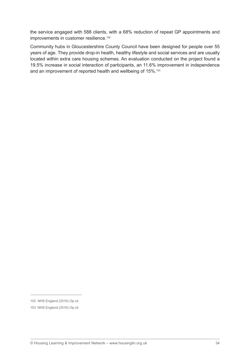the service engaged with 588 clients, with a 68% reduction of repeat GP appointments and improvements in customer resilience.<sup>102</sup>

Community hubs in Gloucestershire County Council have been designed for people over 55 years of age. They provide drop-in health, healthy lifestyle and social services and are usually located within extra care housing schemes. An evaluation conducted on the project found a 19.5% increase in social interaction of participants, an 11.6% improvement in independence and an improvement of reported health and wellbeing of 15%.<sup>103</sup>

<sup>102</sup> NHS England (2016) Op.cit.

<sup>103</sup> NHS England (2016) Op.cit.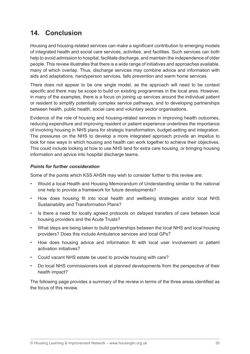### **14. Conclusion**

Housing and housing-related services can make a significant contribution to emerging models of integrated health and social care services, activities, and facilities. Such services can both help to avoid admission to hospital, facilitate discharge, and maintain the independence of older people. This review illustrates that there is a wide range of initiatives and approaches available, many of which overlap. Thus, discharge services may combine advice and information with aids and adaptations, handyperson services, falls prevention and warm home services.

There does not appear to be one single model, as the approach will need to be context specific and there may be scope to build on existing programmes in the local area. However, in many of the examples, there is a focus on joining up services around the individual patient or resident to simplify potentially complex service pathways, and to developing partnerships between health, public health, social care and voluntary sector organisations.

Evidence of the role of housing and housing-related services in improving health outcomes, reducing expenditure and improving resident or patient experience underlines the importance of involving housing in NHS plans for strategic transformation, budget-setting and integration. The pressures on the NHS to develop a more integrated approach provide an impetus to look for new ways in which housing and health can work together to achieve their objectives. This could include looking at how to use NHS land for extra care housing, or bringing housing information and advice into hospital discharge teams.

#### *Points for further consideration*

Some of the points which KSS AHSN may wish to consider further to this review are:

- • Would a local Health and Housing Memorandum of Understanding similar to the national one help to provide a framework for future developments?
- How does housing fit into local health and wellbeing strategies and/or local NHS Sustainability and Transformation Plans?
- Is there a need for locally agreed protocols on delayed transfers of care between local housing providers and the Acute Trusts?
- What steps are being taken to build partnerships between the local NHS and local housing providers? Does this include Ambulance services and local GPs?
- How does housing advice and information fit with local user involvement or patient activation initiatives?
- • Could vacant NHS estate be used to provide housing with care?
- • Do local NHS commissioners look at planned developments from the perspective of their health impact?

The following page provides a summary of the review in terms of the three areas identified as the focus of this review.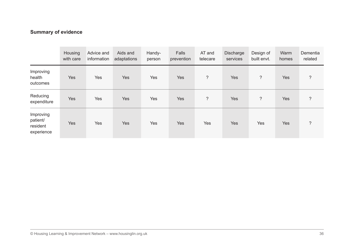#### **Summary of evidence**

|                                                 | Housing<br>with care | Advice and<br>information | Aids and<br>adaptations | Handy-<br>person | Falls<br>prevention | AT and<br>telecare | Discharge<br>services | Design of<br>built envt. | Warm<br>homes | Dementia<br>related |
|-------------------------------------------------|----------------------|---------------------------|-------------------------|------------------|---------------------|--------------------|-----------------------|--------------------------|---------------|---------------------|
| Improving<br>health<br>outcomes                 | Yes                  | Yes                       | <b>Yes</b>              | Yes              | <b>Yes</b>          | $\overline{?}$     | <b>Yes</b>            | $\overline{?}$           | Yes           | $\overline{?}$      |
| Reducing<br>expenditure                         | Yes                  | Yes                       | <b>Yes</b>              | Yes              | <b>Yes</b>          | $\overline{?}$     | <b>Yes</b>            | $\overline{\phantom{a}}$ | Yes           | $\overline{?}$      |
| Improving<br>patient/<br>resident<br>experience | <b>Yes</b>           | Yes                       | <b>Yes</b>              | Yes              | <b>Yes</b>          | Yes                | <b>Yes</b>            | Yes                      | Yes           | $\overline{?}$      |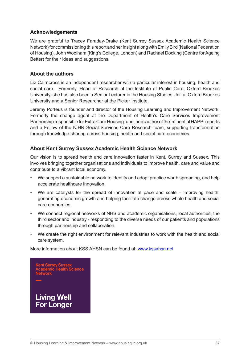#### **Acknowledgements**

We are grateful to Tracey Faraday-Drake (Kent Surrey Sussex Academic Health Science Network) for commissioning this report and her insight along with Emily Bird (National Federation of Housing), John Woolham (King's College, London) and Rachael Docking (Centre for Ageing Better) for their ideas and suggestions.

#### **About the authors**

Liz Cairncross is an independent researcher with a particular interest in housing, health and social care. Formerly, Head of Research at the Institute of Public Care, Oxford Brookes University, she has also been a Senior Lecturer in the Housing Studies Unit at Oxford Brookes University and a Senior Researcher at the Picker Institute.

Jeremy Porteus is founder and director of the Housing Learning and Improvement Network. Formerly the change agent at the Department of Health's Care Services Improvement Partnership responsible for Extra Care Housing fund, he is author of the influential HAPPI reports and a Fellow of the NIHR Social Services Care Research team, supporting transformation through knowledge sharing across housing, health and social care economies.

#### **About Kent Surrey Sussex Academic Health Science Network**

Our vision is to spread health and care innovation faster in Kent, Surrey and Sussex. This involves bringing together organisations and individuals to improve health, care and value and contribute to a vibrant local economy.

- We support a sustainable network to identify and adopt practice worth spreading, and help accelerate healthcare innovation.
- We are catalysts for the spread of innovation at pace and scale improving health, generating economic growth and helping facilitate change across whole health and social care economies.
- We connect regional networks of NHS and academic organisations, local authorities, the third sector and industry - responding to the diverse needs of our patients and populations through partnership and collaboration.
- We create the right environment for relevant industries to work with the health and social care system.

More information about KSS AHSN can be found at: www.kssahsn.net